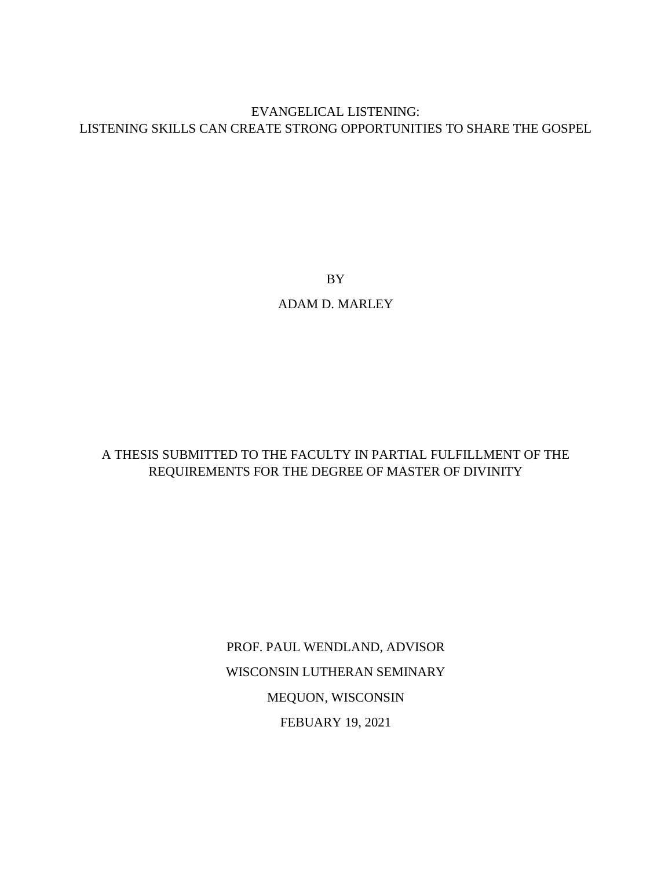# EVANGELICAL LISTENING: LISTENING SKILLS CAN CREATE STRONG OPPORTUNITIES TO SHARE THE GOSPEL

BY

# ADAM D. MARLEY

# A THESIS SUBMITTED TO THE FACULTY IN PARTIAL FULFILLMENT OF THE REQUIREMENTS FOR THE DEGREE OF MASTER OF DIVINITY

PROF. PAUL WENDLAND, ADVISOR WISCONSIN LUTHERAN SEMINARY MEQUON, WISCONSIN FEBUARY 19, 2021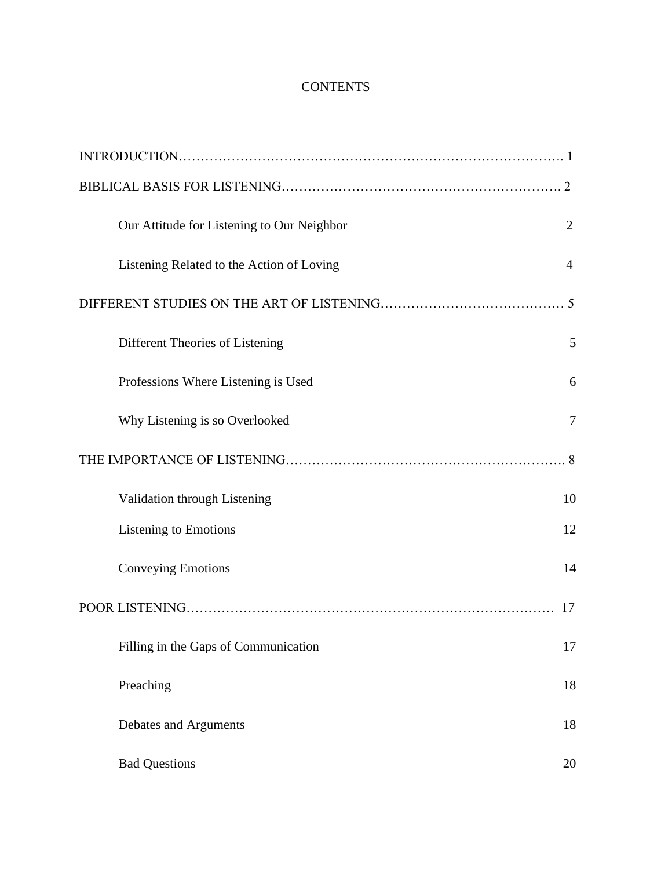# **CONTENTS**

| Our Attitude for Listening to Our Neighbor | $\overline{2}$ |
|--------------------------------------------|----------------|
| Listening Related to the Action of Loving  | $\overline{4}$ |
|                                            |                |
| Different Theories of Listening            | 5              |
| Professions Where Listening is Used        | 6              |
| Why Listening is so Overlooked             | 7              |
|                                            |                |
| Validation through Listening               | 10             |
| <b>Listening to Emotions</b>               | 12             |
| <b>Conveying Emotions</b>                  | 14             |
|                                            | 17             |
| Filling in the Gaps of Communication       | 17             |
| Preaching                                  | 18             |
| Debates and Arguments                      | 18             |
| <b>Bad Questions</b>                       | 20             |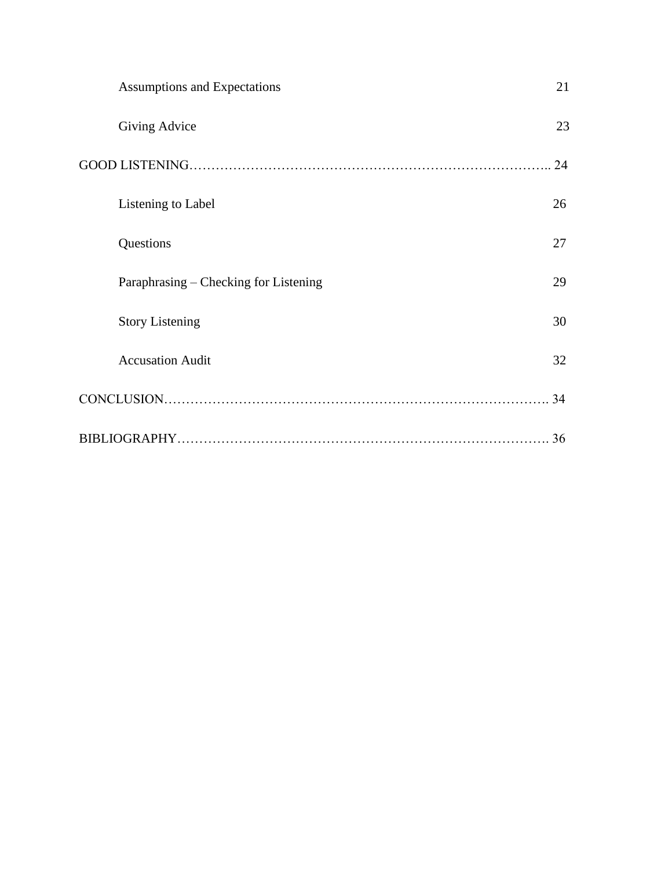| <b>Assumptions and Expectations</b>   | 21 |
|---------------------------------------|----|
| Giving Advice                         | 23 |
|                                       | 24 |
| Listening to Label                    | 26 |
| Questions                             | 27 |
| Paraphrasing – Checking for Listening | 29 |
| <b>Story Listening</b>                | 30 |
| <b>Accusation Audit</b>               | 32 |
|                                       | 34 |
|                                       | 36 |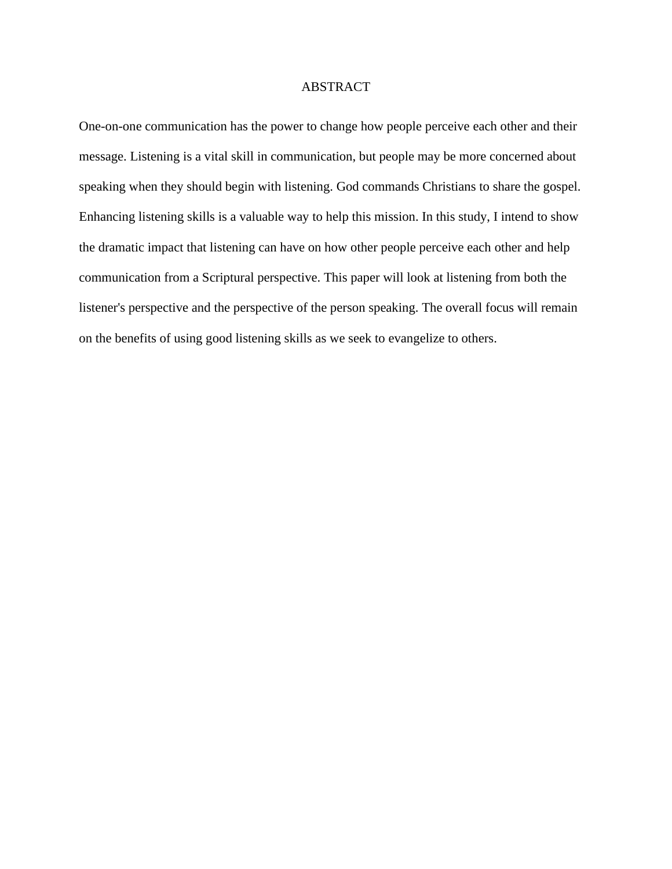# ABSTRACT

One-on-one communication has the power to change how people perceive each other and their message. Listening is a vital skill in communication, but people may be more concerned about speaking when they should begin with listening. God commands Christians to share the gospel. Enhancing listening skills is a valuable way to help this mission. In this study, I intend to show the dramatic impact that listening can have on how other people perceive each other and help communication from a Scriptural perspective. This paper will look at listening from both the listener's perspective and the perspective of the person speaking. The overall focus will remain on the benefits of using good listening skills as we seek to evangelize to others.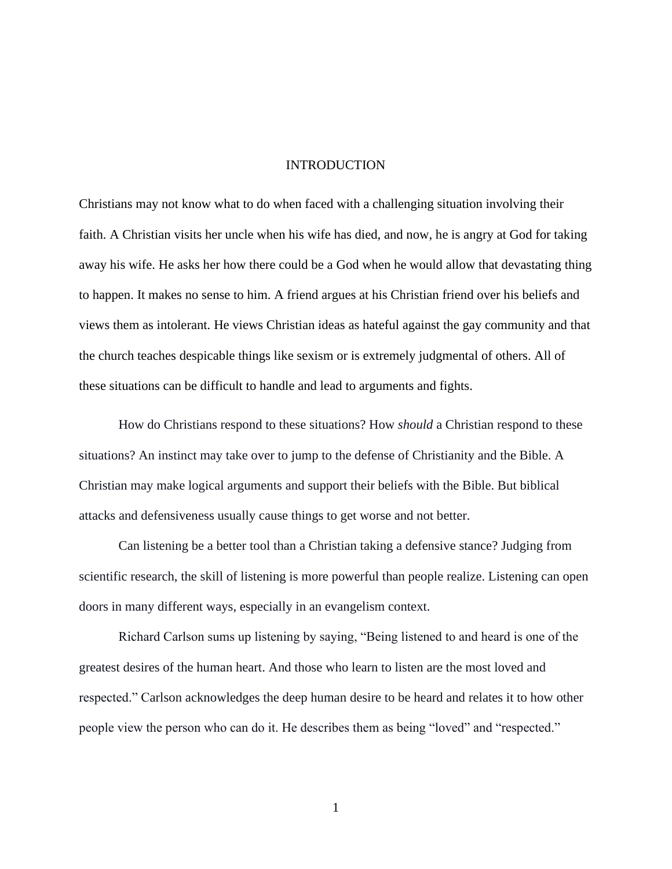### INTRODUCTION

Christians may not know what to do when faced with a challenging situation involving their faith. A Christian visits her uncle when his wife has died, and now, he is angry at God for taking away his wife. He asks her how there could be a God when he would allow that devastating thing to happen. It makes no sense to him. A friend argues at his Christian friend over his beliefs and views them as intolerant. He views Christian ideas as hateful against the gay community and that the church teaches despicable things like sexism or is extremely judgmental of others. All of these situations can be difficult to handle and lead to arguments and fights.

How do Christians respond to these situations? How *should* a Christian respond to these situations? An instinct may take over to jump to the defense of Christianity and the Bible. A Christian may make logical arguments and support their beliefs with the Bible. But biblical attacks and defensiveness usually cause things to get worse and not better.

Can listening be a better tool than a Christian taking a defensive stance? Judging from scientific research, the skill of listening is more powerful than people realize. Listening can open doors in many different ways, especially in an evangelism context.

Richard Carlson sums up listening by saying, "Being listened to and heard is one of the greatest desires of the human heart. And those who learn to listen are the most loved and respected." Carlson acknowledges the deep human desire to be heard and relates it to how other people view the person who can do it. He describes them as being "loved" and "respected."

1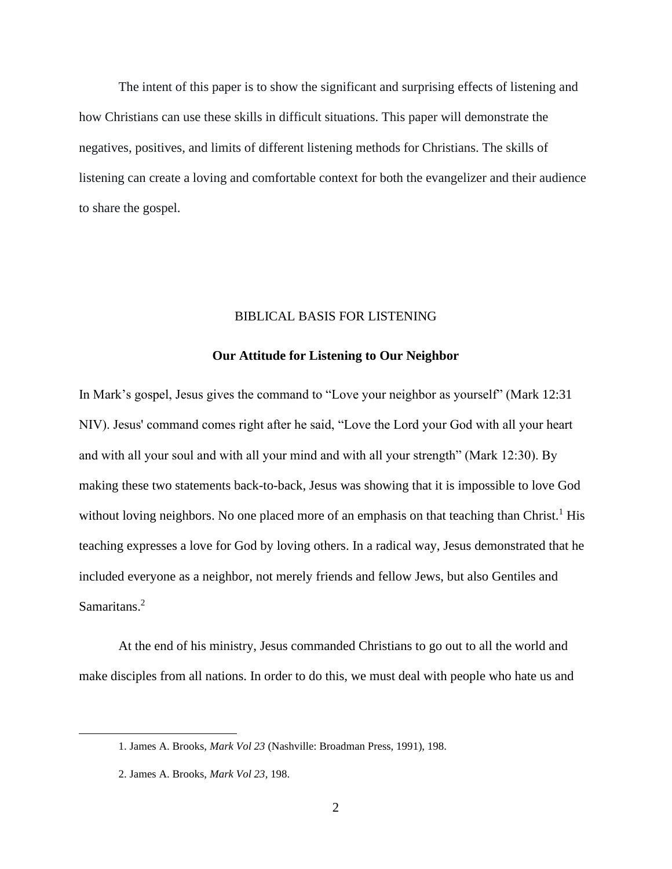The intent of this paper is to show the significant and surprising effects of listening and how Christians can use these skills in difficult situations. This paper will demonstrate the negatives, positives, and limits of different listening methods for Christians. The skills of listening can create a loving and comfortable context for both the evangelizer and their audience to share the gospel.

# BIBLICAL BASIS FOR LISTENING

# **Our Attitude for Listening to Our Neighbor**

In Mark's gospel, Jesus gives the command to "Love your neighbor as yourself" (Mark 12:31 NIV). Jesus' command comes right after he said, "Love the Lord your God with all your heart and with all your soul and with all your mind and with all your strength" (Mark 12:30). By making these two statements back-to-back, Jesus was showing that it is impossible to love God without loving neighbors. No one placed more of an emphasis on that teaching than Christ.<sup>1</sup> His teaching expresses a love for God by loving others. In a radical way, Jesus demonstrated that he included everyone as a neighbor, not merely friends and fellow Jews, but also Gentiles and Samaritans.<sup>2</sup>

At the end of his ministry, Jesus commanded Christians to go out to all the world and make disciples from all nations. In order to do this, we must deal with people who hate us and

<sup>1.</sup> James A. Brooks, *Mark Vol 23* (Nashville: Broadman Press, 1991), 198.

<sup>2.</sup> James A. Brooks, *Mark Vol 23*, 198.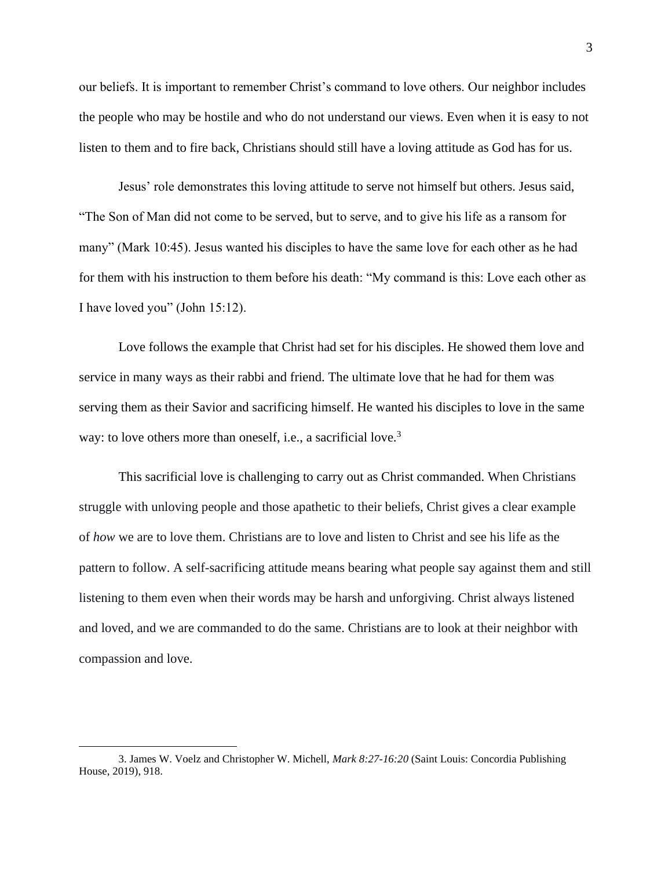our beliefs. It is important to remember Christ's command to love others. Our neighbor includes the people who may be hostile and who do not understand our views. Even when it is easy to not listen to them and to fire back, Christians should still have a loving attitude as God has for us.

Jesus' role demonstrates this loving attitude to serve not himself but others. Jesus said, "The Son of Man did not come to be served, but to serve, and to give his life as a ransom for many" (Mark 10:45). Jesus wanted his disciples to have the same love for each other as he had for them with his instruction to them before his death: "My command is this: Love each other as I have loved you" (John 15:12).

Love follows the example that Christ had set for his disciples. He showed them love and service in many ways as their rabbi and friend. The ultimate love that he had for them was serving them as their Savior and sacrificing himself. He wanted his disciples to love in the same way: to love others more than oneself, i.e., a sacrificial love.<sup>3</sup>

This sacrificial love is challenging to carry out as Christ commanded. When Christians struggle with unloving people and those apathetic to their beliefs, Christ gives a clear example of *how* we are to love them. Christians are to love and listen to Christ and see his life as the pattern to follow. A self-sacrificing attitude means bearing what people say against them and still listening to them even when their words may be harsh and unforgiving. Christ always listened and loved, and we are commanded to do the same. Christians are to look at their neighbor with compassion and love.

<sup>3.</sup> James W. Voelz and Christopher W. Michell, *Mark 8:27-16:20* (Saint Louis: Concordia Publishing House, 2019), 918.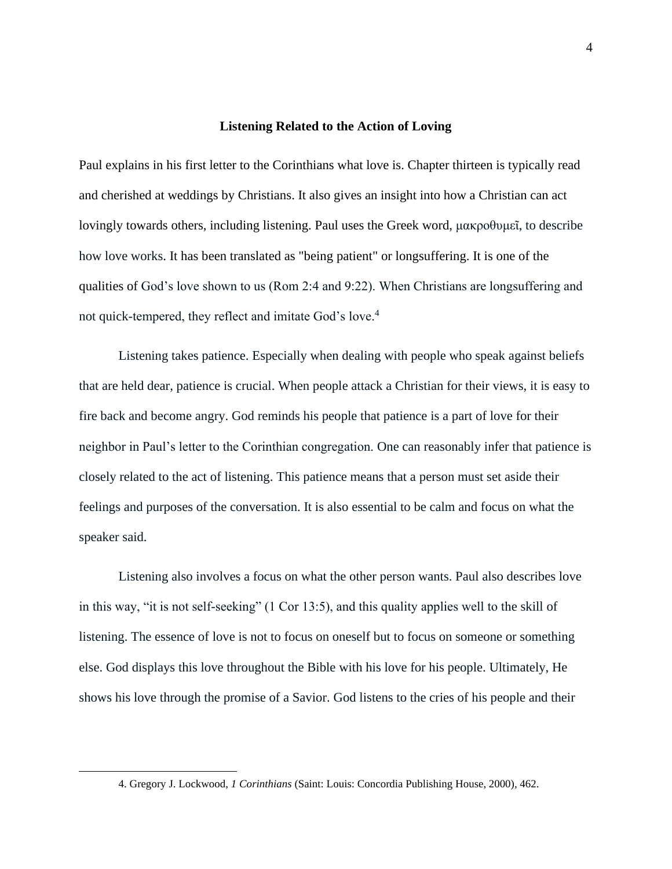#### **Listening Related to the Action of Loving**

Paul explains in his first letter to the Corinthians what love is. Chapter thirteen is typically read and cherished at weddings by Christians. It also gives an insight into how a Christian can act lovingly towards others, including listening. Paul uses the Greek word, μακροθυμεῖ, to describe how love works. It has been translated as "being patient" or longsuffering. It is one of the qualities of God's love shown to us (Rom 2:4 and 9:22). When Christians are longsuffering and not quick-tempered, they reflect and imitate God's love.<sup>4</sup>

Listening takes patience. Especially when dealing with people who speak against beliefs that are held dear, patience is crucial. When people attack a Christian for their views, it is easy to fire back and become angry. God reminds his people that patience is a part of love for their neighbor in Paul's letter to the Corinthian congregation. One can reasonably infer that patience is closely related to the act of listening. This patience means that a person must set aside their feelings and purposes of the conversation. It is also essential to be calm and focus on what the speaker said.

Listening also involves a focus on what the other person wants. Paul also describes love in this way, "it is not self-seeking" (1 Cor 13:5), and this quality applies well to the skill of listening. The essence of love is not to focus on oneself but to focus on someone or something else. God displays this love throughout the Bible with his love for his people. Ultimately, He shows his love through the promise of a Savior. God listens to the cries of his people and their

<sup>4.</sup> Gregory J. Lockwood, *1 Corinthians* (Saint: Louis: Concordia Publishing House, 2000), 462.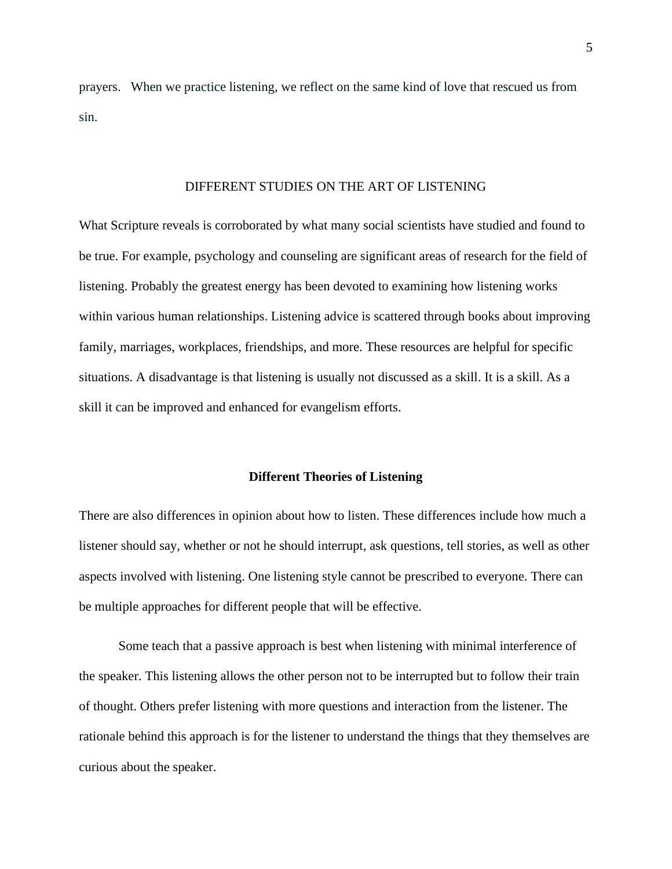prayers. When we practice listening, we reflect on the same kind of love that rescued us from sin.

### DIFFERENT STUDIES ON THE ART OF LISTENING

What Scripture reveals is corroborated by what many social scientists have studied and found to be true. For example, psychology and counseling are significant areas of research for the field of listening. Probably the greatest energy has been devoted to examining how listening works within various human relationships. Listening advice is scattered through books about improving family, marriages, workplaces, friendships, and more. These resources are helpful for specific situations. A disadvantage is that listening is usually not discussed as a skill. It is a skill. As a skill it can be improved and enhanced for evangelism efforts.

# **Different Theories of Listening**

There are also differences in opinion about how to listen. These differences include how much a listener should say, whether or not he should interrupt, ask questions, tell stories, as well as other aspects involved with listening. One listening style cannot be prescribed to everyone. There can be multiple approaches for different people that will be effective.

Some teach that a passive approach is best when listening with minimal interference of the speaker. This listening allows the other person not to be interrupted but to follow their train of thought. Others prefer listening with more questions and interaction from the listener. The rationale behind this approach is for the listener to understand the things that they themselves are curious about the speaker.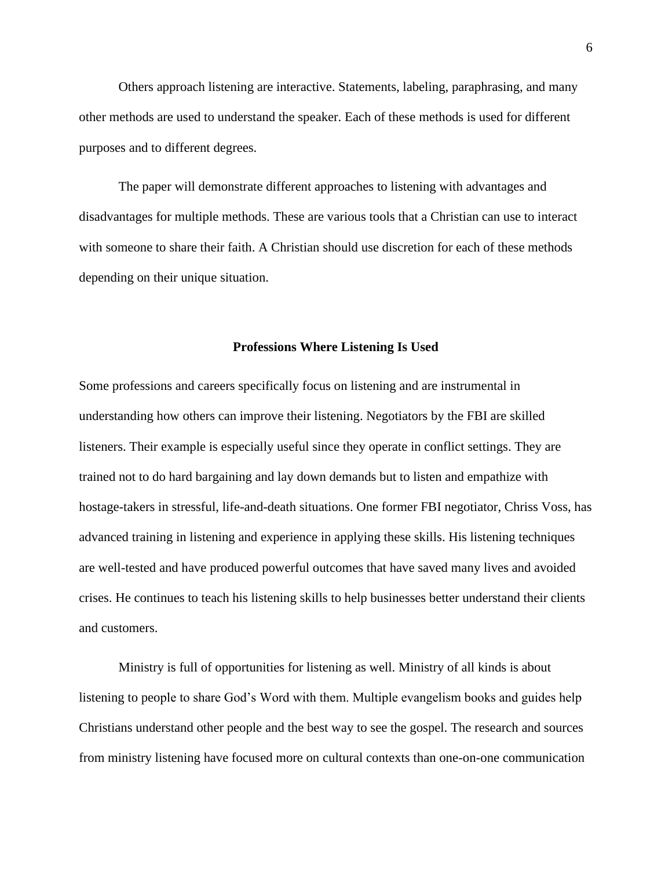Others approach listening are interactive. Statements, labeling, paraphrasing, and many other methods are used to understand the speaker. Each of these methods is used for different purposes and to different degrees.

The paper will demonstrate different approaches to listening with advantages and disadvantages for multiple methods. These are various tools that a Christian can use to interact with someone to share their faith. A Christian should use discretion for each of these methods depending on their unique situation.

### **Professions Where Listening Is Used**

Some professions and careers specifically focus on listening and are instrumental in understanding how others can improve their listening. Negotiators by the FBI are skilled listeners. Their example is especially useful since they operate in conflict settings. They are trained not to do hard bargaining and lay down demands but to listen and empathize with hostage-takers in stressful, life-and-death situations. One former FBI negotiator, Chriss Voss, has advanced training in listening and experience in applying these skills. His listening techniques are well-tested and have produced powerful outcomes that have saved many lives and avoided crises. He continues to teach his listening skills to help businesses better understand their clients and customers.

Ministry is full of opportunities for listening as well. Ministry of all kinds is about listening to people to share God's Word with them. Multiple evangelism books and guides help Christians understand other people and the best way to see the gospel. The research and sources from ministry listening have focused more on cultural contexts than one-on-one communication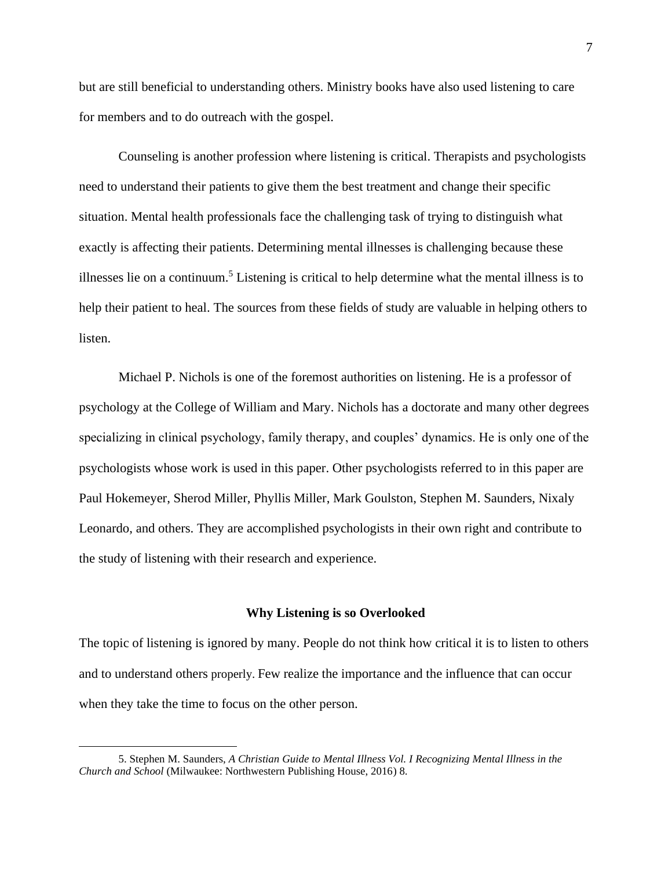but are still beneficial to understanding others. Ministry books have also used listening to care for members and to do outreach with the gospel.

Counseling is another profession where listening is critical. Therapists and psychologists need to understand their patients to give them the best treatment and change their specific situation. Mental health professionals face the challenging task of trying to distinguish what exactly is affecting their patients. Determining mental illnesses is challenging because these illnesses lie on a continuum.<sup>5</sup> Listening is critical to help determine what the mental illness is to help their patient to heal. The sources from these fields of study are valuable in helping others to listen.

Michael P. Nichols is one of the foremost authorities on listening. He is a professor of psychology at the College of William and Mary. Nichols has a doctorate and many other degrees specializing in clinical psychology, family therapy, and couples' dynamics. He is only one of the psychologists whose work is used in this paper. Other psychologists referred to in this paper are Paul Hokemeyer, Sherod Miller, Phyllis Miller, Mark Goulston, Stephen M. Saunders, Nixaly Leonardo, and others. They are accomplished psychologists in their own right and contribute to the study of listening with their research and experience.

#### **Why Listening is so Overlooked**

The topic of listening is ignored by many. People do not think how critical it is to listen to others and to understand others properly. Few realize the importance and the influence that can occur when they take the time to focus on the other person.

<sup>5.</sup> Stephen M. Saunders, *A Christian Guide to Mental Illness Vol. I Recognizing Mental Illness in the Church and School* (Milwaukee: Northwestern Publishing House, 2016) 8.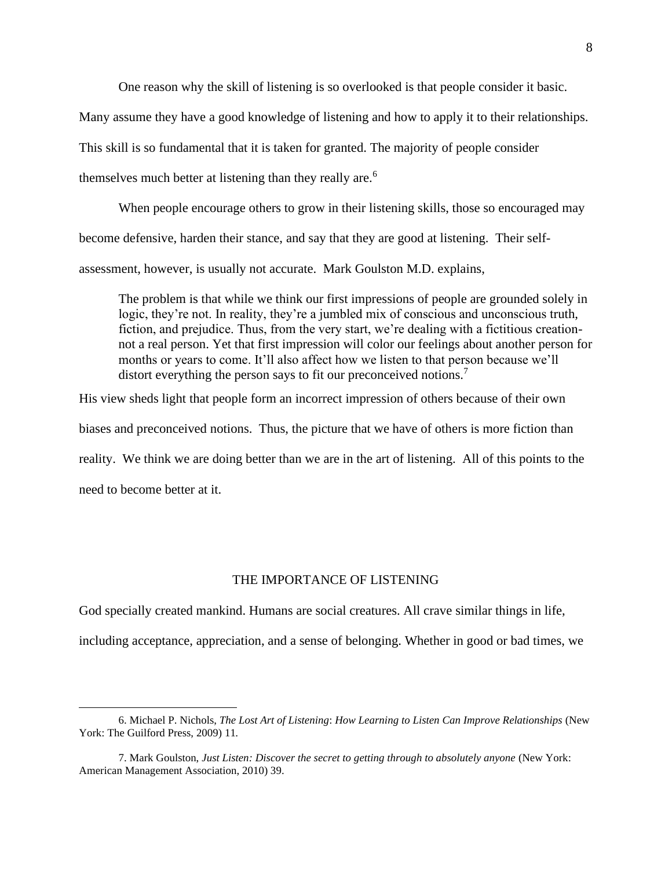One reason why the skill of listening is so overlooked is that people consider it basic.

Many assume they have a good knowledge of listening and how to apply it to their relationships.

This skill is so fundamental that it is taken for granted. The majority of people consider

themselves much better at listening than they really are.<sup>6</sup>

When people encourage others to grow in their listening skills, those so encouraged may

become defensive, harden their stance, and say that they are good at listening. Their self-

assessment, however, is usually not accurate. Mark Goulston M.D. explains,

The problem is that while we think our first impressions of people are grounded solely in logic, they're not. In reality, they're a jumbled mix of conscious and unconscious truth, fiction, and prejudice. Thus, from the very start, we're dealing with a fictitious creationnot a real person. Yet that first impression will color our feelings about another person for months or years to come. It'll also affect how we listen to that person because we'll distort everything the person says to fit our preconceived notions.<sup>7</sup>

His view sheds light that people form an incorrect impression of others because of their own

biases and preconceived notions. Thus, the picture that we have of others is more fiction than

reality. We think we are doing better than we are in the art of listening. All of this points to the

need to become better at it.

# THE IMPORTANCE OF LISTENING

God specially created mankind. Humans are social creatures. All crave similar things in life,

including acceptance, appreciation, and a sense of belonging. Whether in good or bad times, we

<sup>6.</sup> Michael P. Nichols, *The Lost Art of Listening*: *How Learning to Listen Can Improve Relationships* (New York: The Guilford Press, 2009) 11*.*

<sup>7.</sup> Mark Goulston, *Just Listen: Discover the secret to getting through to absolutely anyone* (New York: American Management Association, 2010) 39.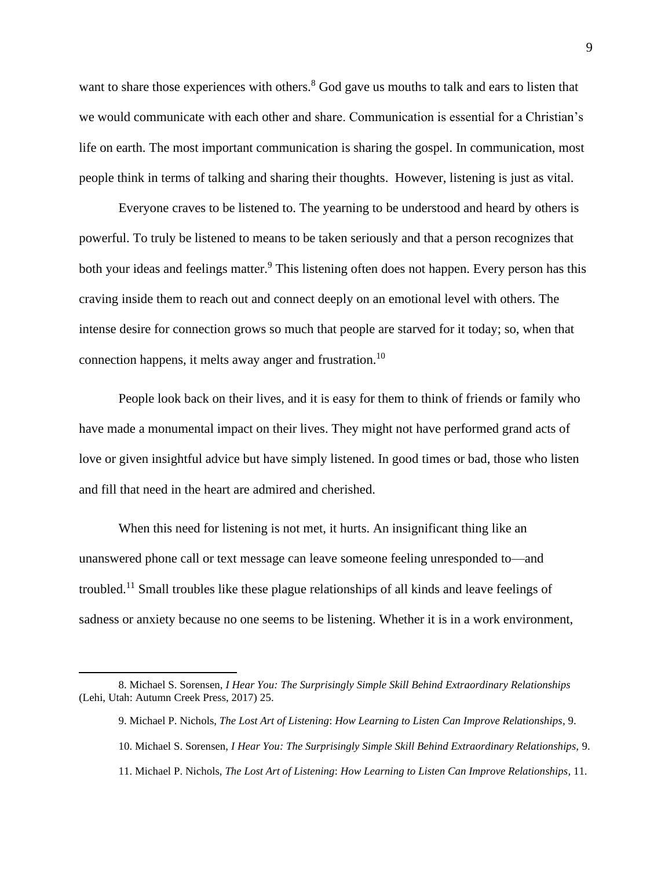want to share those experiences with others.<sup>8</sup> God gave us mouths to talk and ears to listen that we would communicate with each other and share. Communication is essential for a Christian's life on earth. The most important communication is sharing the gospel. In communication, most people think in terms of talking and sharing their thoughts. However, listening is just as vital.

Everyone craves to be listened to. The yearning to be understood and heard by others is powerful. To truly be listened to means to be taken seriously and that a person recognizes that both your ideas and feelings matter.<sup>9</sup> This listening often does not happen. Every person has this craving inside them to reach out and connect deeply on an emotional level with others. The intense desire for connection grows so much that people are starved for it today; so, when that connection happens, it melts away anger and frustration.<sup>10</sup>

People look back on their lives, and it is easy for them to think of friends or family who have made a monumental impact on their lives. They might not have performed grand acts of love or given insightful advice but have simply listened. In good times or bad, those who listen and fill that need in the heart are admired and cherished.

When this need for listening is not met, it hurts. An insignificant thing like an unanswered phone call or text message can leave someone feeling unresponded to—and troubled.<sup>11</sup> Small troubles like these plague relationships of all kinds and leave feelings of sadness or anxiety because no one seems to be listening. Whether it is in a work environment,

<sup>8.</sup> Michael S. Sorensen, *I Hear You: The Surprisingly Simple Skill Behind Extraordinary Relationships*  (Lehi, Utah: Autumn Creek Press, 2017) 25.

<sup>9.</sup> Michael P. Nichols, *The Lost Art of Listening*: *How Learning to Listen Can Improve Relationships,* 9.

<sup>10.</sup> Michael S. Sorensen, *I Hear You: The Surprisingly Simple Skill Behind Extraordinary Relationships,* 9.

<sup>11.</sup> Michael P. Nichols, *The Lost Art of Listening*: *How Learning to Listen Can Improve Relationships,* 11*.*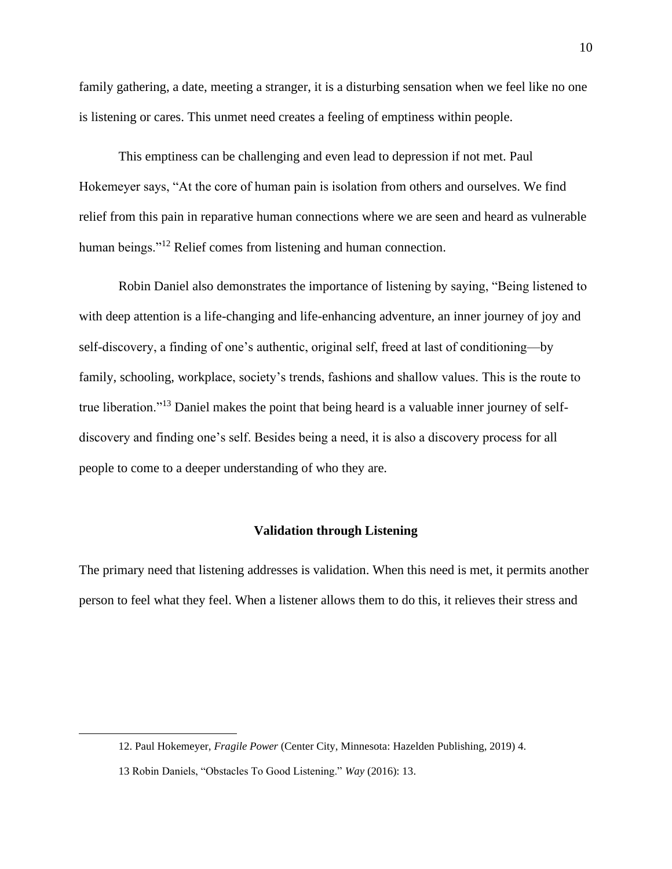family gathering, a date, meeting a stranger, it is a disturbing sensation when we feel like no one is listening or cares. This unmet need creates a feeling of emptiness within people.

This emptiness can be challenging and even lead to depression if not met. Paul Hokemeyer says, "At the core of human pain is isolation from others and ourselves. We find relief from this pain in reparative human connections where we are seen and heard as vulnerable human beings."<sup>12</sup> Relief comes from listening and human connection.

Robin Daniel also demonstrates the importance of listening by saying, "Being listened to with deep attention is a life-changing and life-enhancing adventure, an inner journey of joy and self-discovery, a finding of one's authentic, original self, freed at last of conditioning—by family, schooling, workplace, society's trends, fashions and shallow values. This is the route to true liberation."<sup>13</sup> Daniel makes the point that being heard is a valuable inner journey of selfdiscovery and finding one's self. Besides being a need, it is also a discovery process for all people to come to a deeper understanding of who they are.

# **Validation through Listening**

The primary need that listening addresses is validation. When this need is met, it permits another person to feel what they feel. When a listener allows them to do this, it relieves their stress and

<sup>12.</sup> Paul Hokemeyer, *Fragile Power* (Center City, Minnesota: Hazelden Publishing, 2019) 4.

<sup>13</sup> Robin Daniels, "Obstacles To Good Listening." *Way* (2016): 13.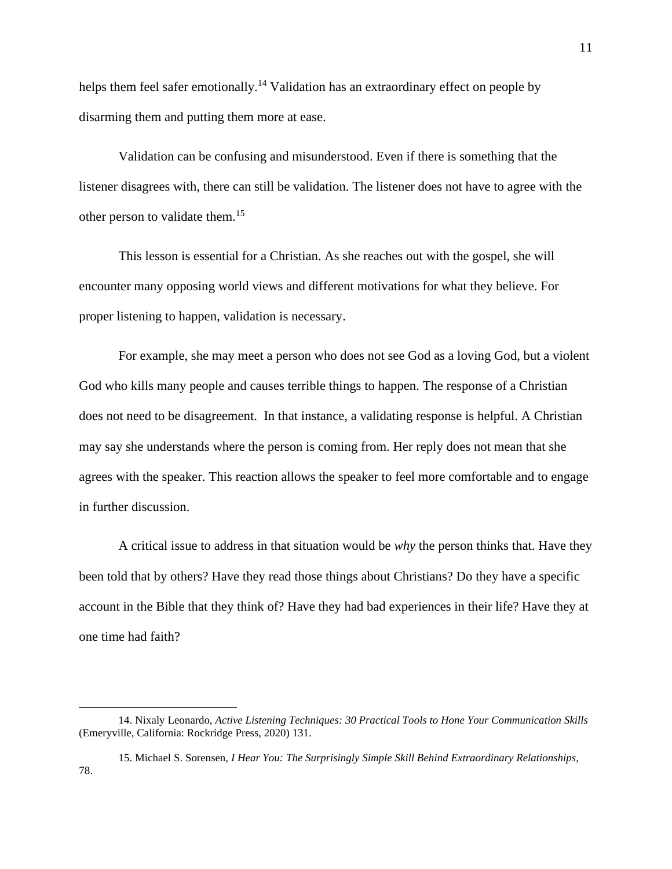helps them feel safer emotionally.<sup>14</sup> Validation has an extraordinary effect on people by disarming them and putting them more at ease.

Validation can be confusing and misunderstood. Even if there is something that the listener disagrees with, there can still be validation. The listener does not have to agree with the other person to validate them.<sup>15</sup>

This lesson is essential for a Christian. As she reaches out with the gospel, she will encounter many opposing world views and different motivations for what they believe. For proper listening to happen, validation is necessary.

For example, she may meet a person who does not see God as a loving God, but a violent God who kills many people and causes terrible things to happen. The response of a Christian does not need to be disagreement. In that instance, a validating response is helpful. A Christian may say she understands where the person is coming from. Her reply does not mean that she agrees with the speaker. This reaction allows the speaker to feel more comfortable and to engage in further discussion.

A critical issue to address in that situation would be *why* the person thinks that. Have they been told that by others? Have they read those things about Christians? Do they have a specific account in the Bible that they think of? Have they had bad experiences in their life? Have they at one time had faith?

<sup>14.</sup> Nixaly Leonardo, *Active Listening Techniques: 30 Practical Tools to Hone Your Communication Skills* (Emeryville, California: Rockridge Press, 2020) 131.

<sup>15.</sup> Michael S. Sorensen, *I Hear You: The Surprisingly Simple Skill Behind Extraordinary Relationships,* 78.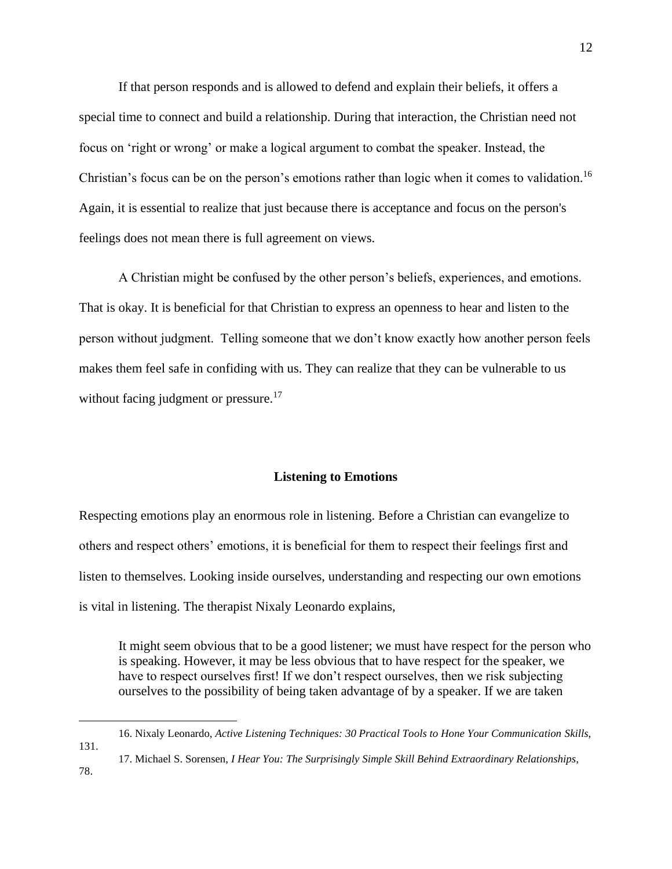If that person responds and is allowed to defend and explain their beliefs, it offers a special time to connect and build a relationship. During that interaction, the Christian need not focus on 'right or wrong' or make a logical argument to combat the speaker. Instead, the Christian's focus can be on the person's emotions rather than logic when it comes to validation.<sup>16</sup> Again, it is essential to realize that just because there is acceptance and focus on the person's feelings does not mean there is full agreement on views.

A Christian might be confused by the other person's beliefs, experiences, and emotions. That is okay. It is beneficial for that Christian to express an openness to hear and listen to the person without judgment. Telling someone that we don't know exactly how another person feels makes them feel safe in confiding with us. They can realize that they can be vulnerable to us without facing judgment or pressure.<sup>17</sup>

# **Listening to Emotions**

Respecting emotions play an enormous role in listening. Before a Christian can evangelize to others and respect others' emotions, it is beneficial for them to respect their feelings first and listen to themselves. Looking inside ourselves, understanding and respecting our own emotions is vital in listening. The therapist Nixaly Leonardo explains,

It might seem obvious that to be a good listener; we must have respect for the person who is speaking. However, it may be less obvious that to have respect for the speaker, we have to respect ourselves first! If we don't respect ourselves, then we risk subjecting ourselves to the possibility of being taken advantage of by a speaker. If we are taken

<sup>16.</sup> Nixaly Leonardo, *Active Listening Techniques: 30 Practical Tools to Hone Your Communication Skills*, 131.

<sup>17.</sup> Michael S. Sorensen, *I Hear You: The Surprisingly Simple Skill Behind Extraordinary Relationships,* 78.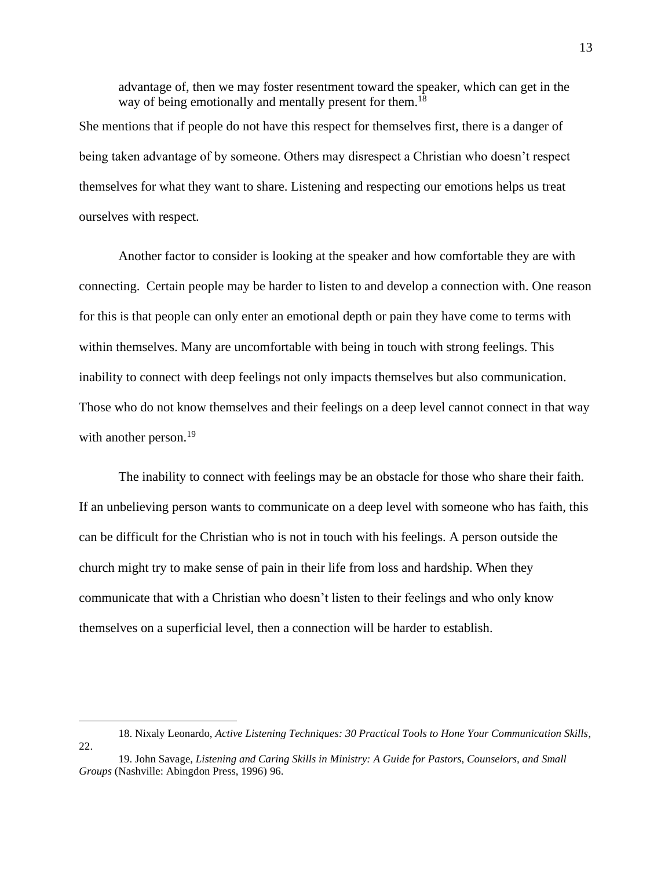advantage of, then we may foster resentment toward the speaker, which can get in the way of being emotionally and mentally present for them.<sup>18</sup>

She mentions that if people do not have this respect for themselves first, there is a danger of being taken advantage of by someone. Others may disrespect a Christian who doesn't respect themselves for what they want to share. Listening and respecting our emotions helps us treat ourselves with respect.

Another factor to consider is looking at the speaker and how comfortable they are with connecting. Certain people may be harder to listen to and develop a connection with. One reason for this is that people can only enter an emotional depth or pain they have come to terms with within themselves. Many are uncomfortable with being in touch with strong feelings. This inability to connect with deep feelings not only impacts themselves but also communication. Those who do not know themselves and their feelings on a deep level cannot connect in that way with another person.<sup>19</sup>

The inability to connect with feelings may be an obstacle for those who share their faith. If an unbelieving person wants to communicate on a deep level with someone who has faith, this can be difficult for the Christian who is not in touch with his feelings. A person outside the church might try to make sense of pain in their life from loss and hardship. When they communicate that with a Christian who doesn't listen to their feelings and who only know themselves on a superficial level, then a connection will be harder to establish.

<sup>18.</sup> Nixaly Leonardo, *Active Listening Techniques: 30 Practical Tools to Hone Your Communication Skills*, 22.

<sup>19.</sup> John Savage, *Listening and Caring Skills in Ministry: A Guide for Pastors, Counselors, and Small Groups* (Nashville: Abingdon Press, 1996) 96.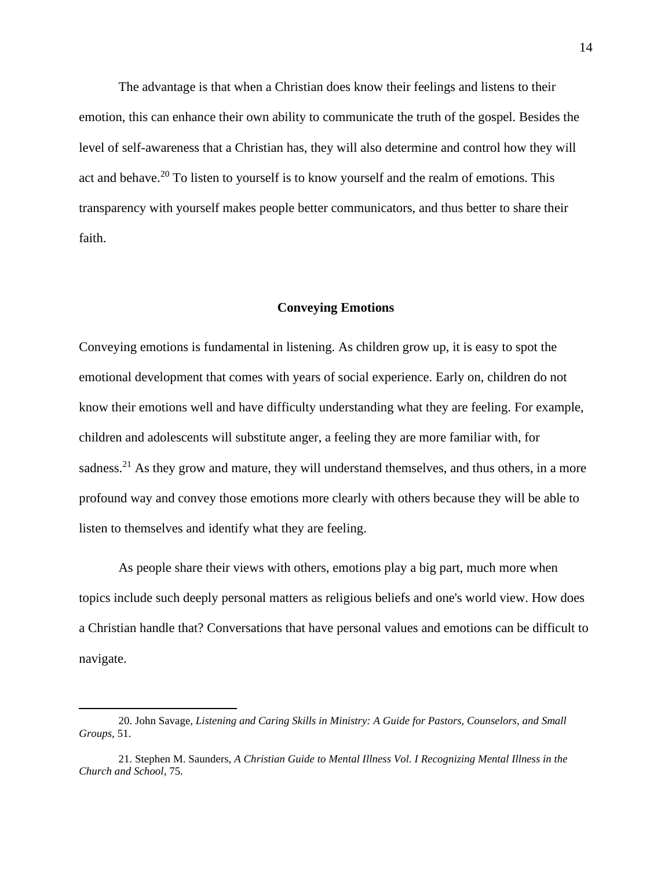The advantage is that when a Christian does know their feelings and listens to their emotion, this can enhance their own ability to communicate the truth of the gospel. Besides the level of self-awareness that a Christian has, they will also determine and control how they will act and behave.<sup>20</sup> To listen to yourself is to know yourself and the realm of emotions. This transparency with yourself makes people better communicators, and thus better to share their faith.

# **Conveying Emotions**

Conveying emotions is fundamental in listening. As children grow up, it is easy to spot the emotional development that comes with years of social experience. Early on, children do not know their emotions well and have difficulty understanding what they are feeling. For example, children and adolescents will substitute anger, a feeling they are more familiar with, for sadness.<sup>21</sup> As they grow and mature, they will understand themselves, and thus others, in a more profound way and convey those emotions more clearly with others because they will be able to listen to themselves and identify what they are feeling.

As people share their views with others, emotions play a big part, much more when topics include such deeply personal matters as religious beliefs and one's world view. How does a Christian handle that? Conversations that have personal values and emotions can be difficult to navigate.

<sup>20.</sup> John Savage, *Listening and Caring Skills in Ministry: A Guide for Pastors, Counselors, and Small Groups,* 51.

<sup>21.</sup> Stephen M. Saunders, *A Christian Guide to Mental Illness Vol. I Recognizing Mental Illness in the Church and School*, 75.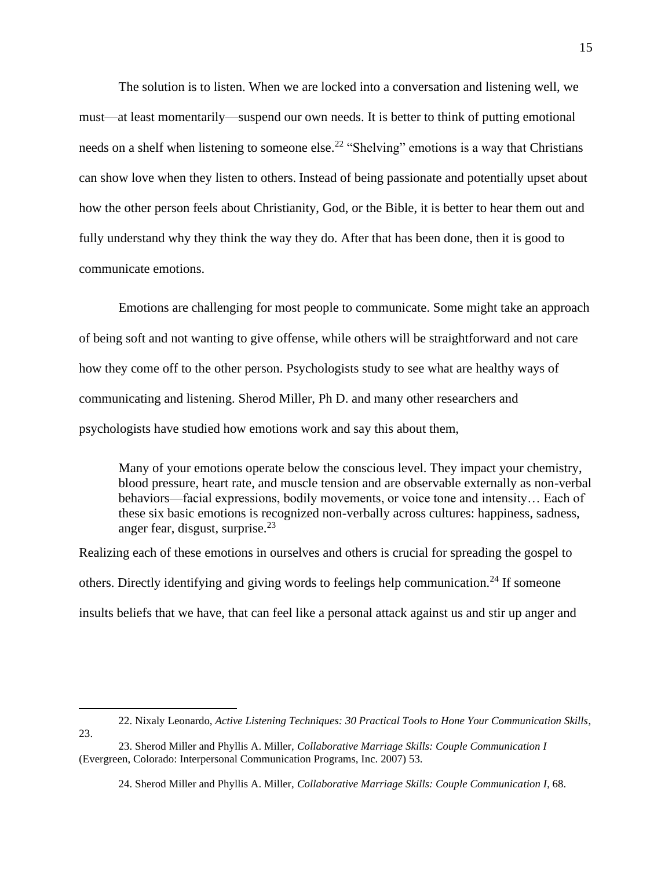The solution is to listen. When we are locked into a conversation and listening well, we must—at least momentarily—suspend our own needs. It is better to think of putting emotional needs on a shelf when listening to someone else.<sup>22</sup> "Shelving" emotions is a way that Christians can show love when they listen to others. Instead of being passionate and potentially upset about how the other person feels about Christianity, God, or the Bible, it is better to hear them out and fully understand why they think the way they do. After that has been done, then it is good to communicate emotions.

Emotions are challenging for most people to communicate. Some might take an approach of being soft and not wanting to give offense, while others will be straightforward and not care how they come off to the other person. Psychologists study to see what are healthy ways of communicating and listening. Sherod Miller, Ph D. and many other researchers and psychologists have studied how emotions work and say this about them,

Many of your emotions operate below the conscious level. They impact your chemistry, blood pressure, heart rate, and muscle tension and are observable externally as non-verbal behaviors—facial expressions, bodily movements, or voice tone and intensity… Each of these six basic emotions is recognized non-verbally across cultures: happiness, sadness, anger fear, disgust, surprise. $^{23}$ 

Realizing each of these emotions in ourselves and others is crucial for spreading the gospel to others. Directly identifying and giving words to feelings help communication.<sup>24</sup> If someone insults beliefs that we have, that can feel like a personal attack against us and stir up anger and

22. Nixaly Leonardo, *Active Listening Techniques: 30 Practical Tools to Hone Your Communication Skills*, 23.

<sup>23.</sup> Sherod Miller and Phyllis A. Miller, *Collaborative Marriage Skills: Couple Communication I* (Evergreen, Colorado: Interpersonal Communication Programs, Inc. 2007) 53.

<sup>24.</sup> Sherod Miller and Phyllis A. Miller, *Collaborative Marriage Skills: Couple Communication I*, 68.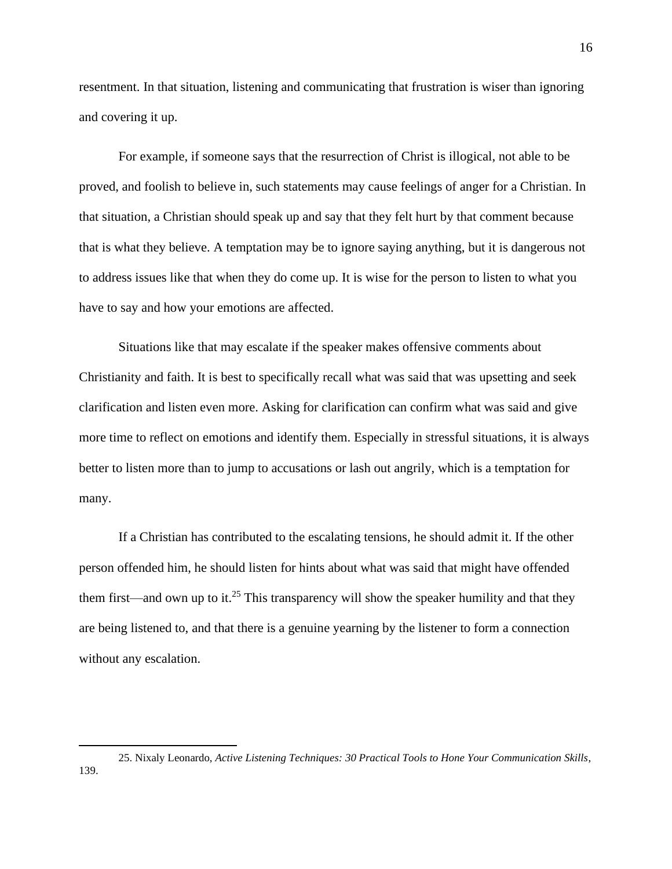resentment. In that situation, listening and communicating that frustration is wiser than ignoring and covering it up.

For example, if someone says that the resurrection of Christ is illogical, not able to be proved, and foolish to believe in, such statements may cause feelings of anger for a Christian. In that situation, a Christian should speak up and say that they felt hurt by that comment because that is what they believe. A temptation may be to ignore saying anything, but it is dangerous not to address issues like that when they do come up. It is wise for the person to listen to what you have to say and how your emotions are affected.

Situations like that may escalate if the speaker makes offensive comments about Christianity and faith. It is best to specifically recall what was said that was upsetting and seek clarification and listen even more. Asking for clarification can confirm what was said and give more time to reflect on emotions and identify them. Especially in stressful situations, it is always better to listen more than to jump to accusations or lash out angrily, which is a temptation for many.

If a Christian has contributed to the escalating tensions, he should admit it. If the other person offended him, he should listen for hints about what was said that might have offended them first—and own up to it.<sup>25</sup> This transparency will show the speaker humility and that they are being listened to, and that there is a genuine yearning by the listener to form a connection without any escalation.

<sup>25.</sup> Nixaly Leonardo, *Active Listening Techniques: 30 Practical Tools to Hone Your Communication Skills*, 139.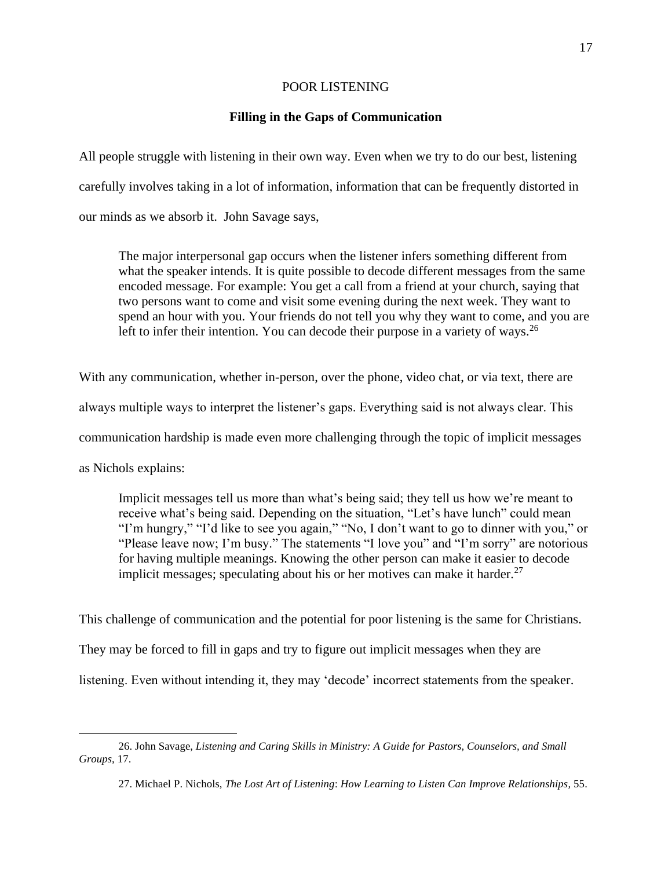# POOR LISTENING

# **Filling in the Gaps of Communication**

All people struggle with listening in their own way. Even when we try to do our best, listening carefully involves taking in a lot of information, information that can be frequently distorted in our minds as we absorb it. John Savage says,

The major interpersonal gap occurs when the listener infers something different from what the speaker intends. It is quite possible to decode different messages from the same encoded message. For example: You get a call from a friend at your church, saying that two persons want to come and visit some evening during the next week. They want to spend an hour with you. Your friends do not tell you why they want to come, and you are left to infer their intention. You can decode their purpose in a variety of ways.<sup>26</sup>

With any communication, whether in-person, over the phone, video chat, or via text, there are always multiple ways to interpret the listener's gaps. Everything said is not always clear. This communication hardship is made even more challenging through the topic of implicit messages as Nichols explains:

Implicit messages tell us more than what's being said; they tell us how we're meant to receive what's being said. Depending on the situation, "Let's have lunch" could mean "I'm hungry," "I'd like to see you again," "No, I don't want to go to dinner with you," or "Please leave now; I'm busy." The statements "I love you" and "I'm sorry" are notorious for having multiple meanings. Knowing the other person can make it easier to decode implicit messages; speculating about his or her motives can make it harder.<sup>27</sup>

This challenge of communication and the potential for poor listening is the same for Christians.

They may be forced to fill in gaps and try to figure out implicit messages when they are

listening. Even without intending it, they may 'decode' incorrect statements from the speaker.

<sup>26.</sup> John Savage, *Listening and Caring Skills in Ministry: A Guide for Pastors, Counselors, and Small Groups,* 17.

<sup>27.</sup> Michael P. Nichols, *The Lost Art of Listening*: *How Learning to Listen Can Improve Relationships,* 55.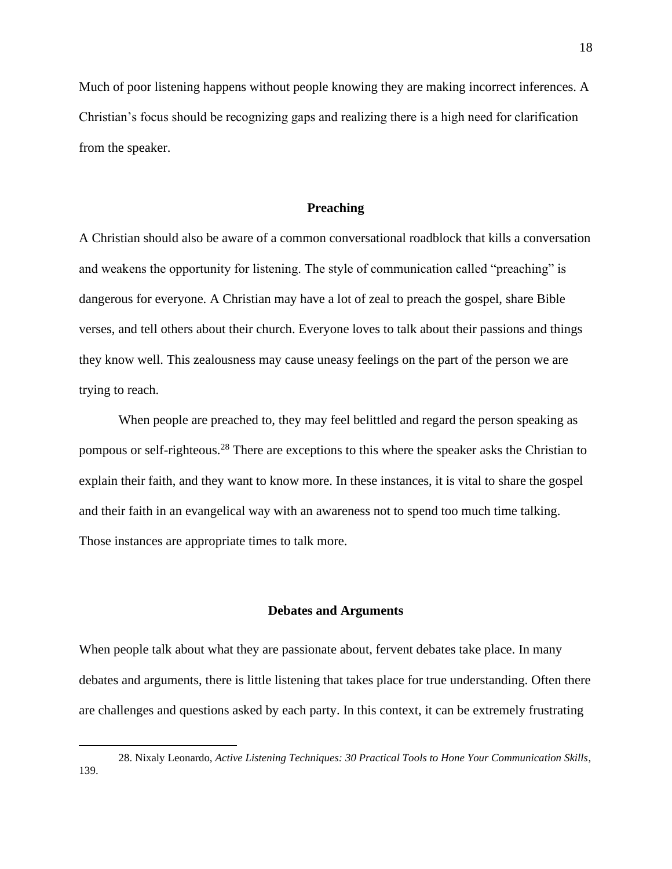Much of poor listening happens without people knowing they are making incorrect inferences. A Christian's focus should be recognizing gaps and realizing there is a high need for clarification from the speaker.

### **Preaching**

A Christian should also be aware of a common conversational roadblock that kills a conversation and weakens the opportunity for listening. The style of communication called "preaching" is dangerous for everyone. A Christian may have a lot of zeal to preach the gospel, share Bible verses, and tell others about their church. Everyone loves to talk about their passions and things they know well. This zealousness may cause uneasy feelings on the part of the person we are trying to reach.

When people are preached to, they may feel belittled and regard the person speaking as pompous or self-righteous.<sup>28</sup> There are exceptions to this where the speaker asks the Christian to explain their faith, and they want to know more. In these instances, it is vital to share the gospel and their faith in an evangelical way with an awareness not to spend too much time talking. Those instances are appropriate times to talk more.

## **Debates and Arguments**

When people talk about what they are passionate about, fervent debates take place. In many debates and arguments, there is little listening that takes place for true understanding. Often there are challenges and questions asked by each party. In this context, it can be extremely frustrating

<sup>28.</sup> Nixaly Leonardo, *Active Listening Techniques: 30 Practical Tools to Hone Your Communication Skills*, 139.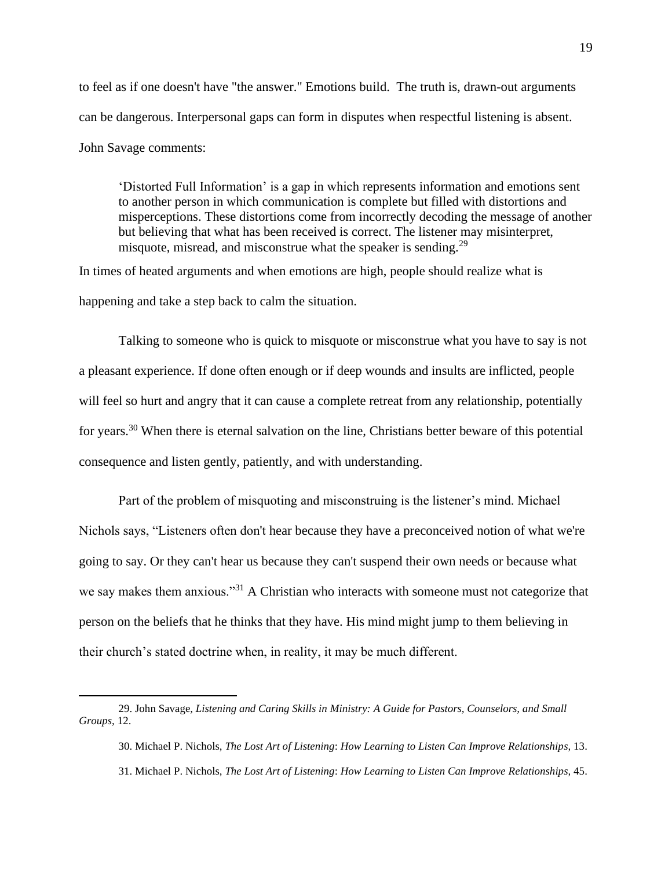to feel as if one doesn't have "the answer." Emotions build. The truth is, drawn-out arguments can be dangerous. Interpersonal gaps can form in disputes when respectful listening is absent. John Savage comments:

'Distorted Full Information' is a gap in which represents information and emotions sent to another person in which communication is complete but filled with distortions and misperceptions. These distortions come from incorrectly decoding the message of another but believing that what has been received is correct. The listener may misinterpret, misquote, misread, and misconstrue what the speaker is sending.<sup>29</sup>

In times of heated arguments and when emotions are high, people should realize what is happening and take a step back to calm the situation.

Talking to someone who is quick to misquote or misconstrue what you have to say is not a pleasant experience. If done often enough or if deep wounds and insults are inflicted, people will feel so hurt and angry that it can cause a complete retreat from any relationship, potentially for years.<sup>30</sup> When there is eternal salvation on the line, Christians better beware of this potential consequence and listen gently, patiently, and with understanding.

Part of the problem of misquoting and misconstruing is the listener's mind. Michael Nichols says, "Listeners often don't hear because they have a preconceived notion of what we're going to say. Or they can't hear us because they can't suspend their own needs or because what we say makes them anxious."<sup>31</sup> A Christian who interacts with someone must not categorize that person on the beliefs that he thinks that they have. His mind might jump to them believing in their church's stated doctrine when, in reality, it may be much different.

<sup>29.</sup> John Savage, *Listening and Caring Skills in Ministry: A Guide for Pastors, Counselors, and Small Groups,* 12.

<sup>30.</sup> Michael P. Nichols, *The Lost Art of Listening*: *How Learning to Listen Can Improve Relationships,* 13. 31. Michael P. Nichols, *The Lost Art of Listening*: *How Learning to Listen Can Improve Relationships,* 45.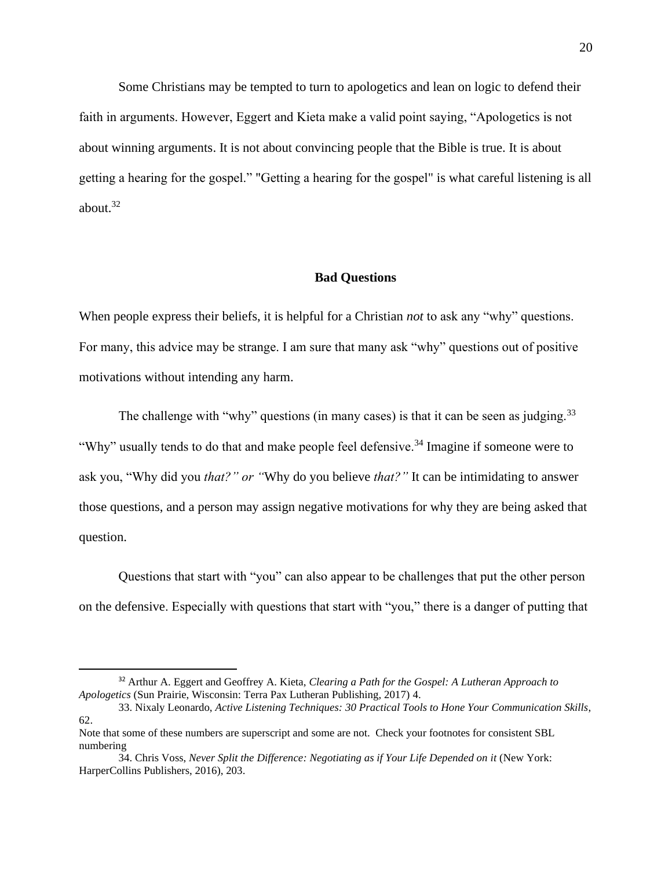Some Christians may be tempted to turn to apologetics and lean on logic to defend their faith in arguments. However, Eggert and Kieta make a valid point saying, "Apologetics is not about winning arguments. It is not about convincing people that the Bible is true. It is about getting a hearing for the gospel." "Getting a hearing for the gospel" is what careful listening is all about.<sup>32</sup>

#### **Bad Questions**

When people express their beliefs, it is helpful for a Christian *not* to ask any "why" questions. For many, this advice may be strange. I am sure that many ask "why" questions out of positive motivations without intending any harm.

The challenge with "why" questions (in many cases) is that it can be seen as judging. $33$ "Why" usually tends to do that and make people feel defensive.<sup>34</sup> Imagine if someone were to ask you, "Why did you *that?" or "*Why do you believe *that?"* It can be intimidating to answer those questions, and a person may assign negative motivations for why they are being asked that question.

Questions that start with "you" can also appear to be challenges that put the other person on the defensive. Especially with questions that start with "you," there is a danger of putting that

<sup>32</sup> Arthur A. Eggert and Geoffrey A. Kieta, *Clearing a Path for the Gospel: A Lutheran Approach to Apologetics* (Sun Prairie, Wisconsin: Terra Pax Lutheran Publishing, 2017) 4.

<sup>33.</sup> Nixaly Leonardo, *Active Listening Techniques: 30 Practical Tools to Hone Your Communication Skills*, 62.

Note that some of these numbers are superscript and some are not. Check your footnotes for consistent SBL numbering

<sup>34.</sup> Chris Voss, *Never Split the Difference: Negotiating as if Your Life Depended on it* (New York: HarperCollins Publishers, 2016), 203.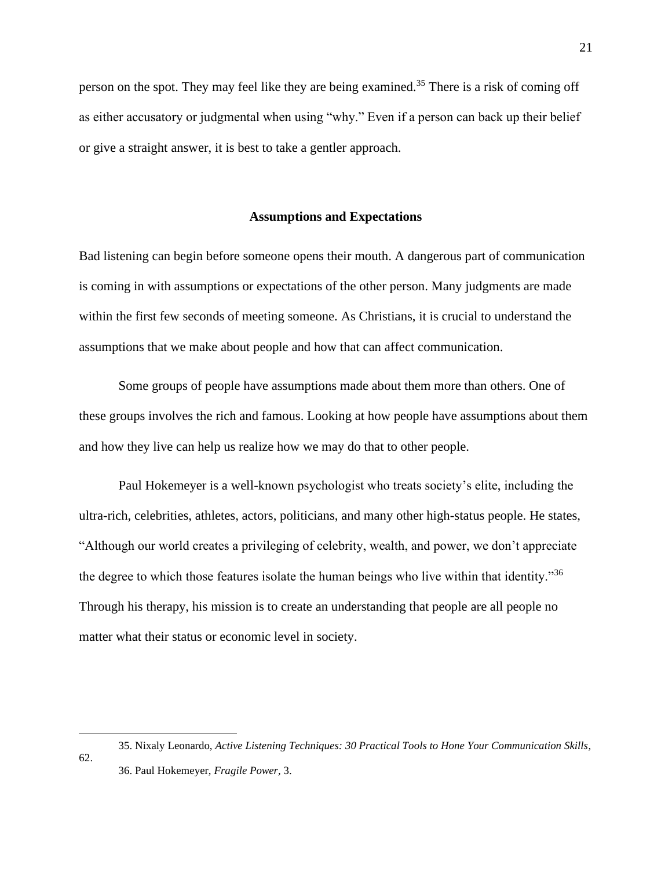person on the spot. They may feel like they are being examined.<sup>35</sup> There is a risk of coming off as either accusatory or judgmental when using "why." Even if a person can back up their belief or give a straight answer, it is best to take a gentler approach.

### **Assumptions and Expectations**

Bad listening can begin before someone opens their mouth. A dangerous part of communication is coming in with assumptions or expectations of the other person. Many judgments are made within the first few seconds of meeting someone. As Christians, it is crucial to understand the assumptions that we make about people and how that can affect communication.

Some groups of people have assumptions made about them more than others. One of these groups involves the rich and famous. Looking at how people have assumptions about them and how they live can help us realize how we may do that to other people.

Paul Hokemeyer is a well-known psychologist who treats society's elite, including the ultra-rich, celebrities, athletes, actors, politicians, and many other high-status people. He states, "Although our world creates a privileging of celebrity, wealth, and power, we don't appreciate the degree to which those features isolate the human beings who live within that identity."<sup>36</sup> Through his therapy, his mission is to create an understanding that people are all people no matter what their status or economic level in society.

62.

21

<sup>35.</sup> Nixaly Leonardo, *Active Listening Techniques: 30 Practical Tools to Hone Your Communication Skills*, 36. Paul Hokemeyer, *Fragile Power,* 3.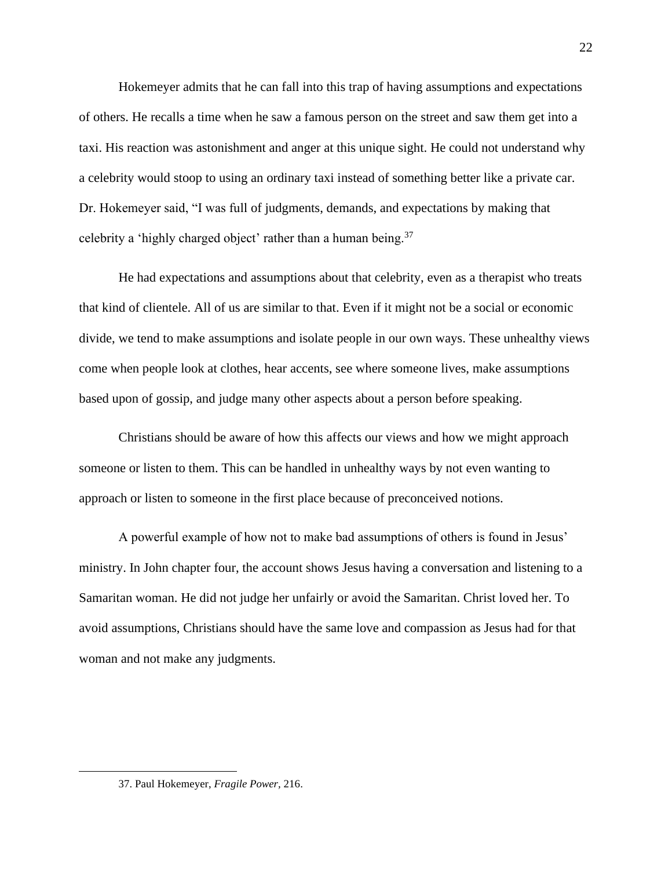Hokemeyer admits that he can fall into this trap of having assumptions and expectations of others. He recalls a time when he saw a famous person on the street and saw them get into a taxi. His reaction was astonishment and anger at this unique sight. He could not understand why a celebrity would stoop to using an ordinary taxi instead of something better like a private car. Dr. Hokemeyer said, "I was full of judgments, demands, and expectations by making that celebrity a 'highly charged object' rather than a human being.<sup>37</sup>

He had expectations and assumptions about that celebrity, even as a therapist who treats that kind of clientele. All of us are similar to that. Even if it might not be a social or economic divide, we tend to make assumptions and isolate people in our own ways. These unhealthy views come when people look at clothes, hear accents, see where someone lives, make assumptions based upon of gossip, and judge many other aspects about a person before speaking.

Christians should be aware of how this affects our views and how we might approach someone or listen to them. This can be handled in unhealthy ways by not even wanting to approach or listen to someone in the first place because of preconceived notions.

A powerful example of how not to make bad assumptions of others is found in Jesus' ministry. In John chapter four, the account shows Jesus having a conversation and listening to a Samaritan woman. He did not judge her unfairly or avoid the Samaritan. Christ loved her. To avoid assumptions, Christians should have the same love and compassion as Jesus had for that woman and not make any judgments.

<sup>37.</sup> Paul Hokemeyer, *Fragile Power,* 216.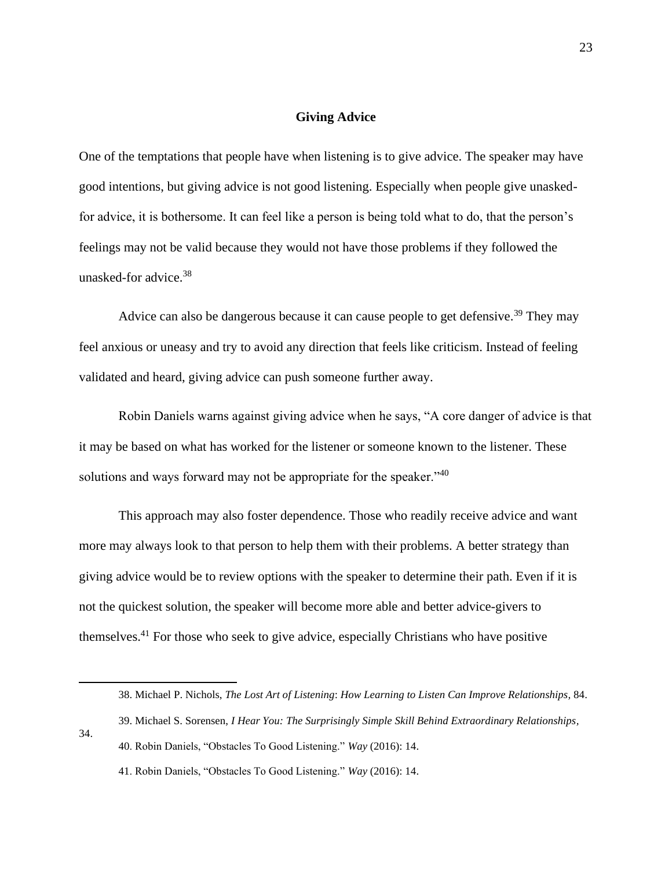## **Giving Advice**

One of the temptations that people have when listening is to give advice. The speaker may have good intentions, but giving advice is not good listening. Especially when people give unaskedfor advice, it is bothersome. It can feel like a person is being told what to do, that the person's feelings may not be valid because they would not have those problems if they followed the unasked-for advice. $38$ 

Advice can also be dangerous because it can cause people to get defensive.<sup>39</sup> They may feel anxious or uneasy and try to avoid any direction that feels like criticism. Instead of feeling validated and heard, giving advice can push someone further away.

Robin Daniels warns against giving advice when he says, "A core danger of advice is that it may be based on what has worked for the listener or someone known to the listener. These solutions and ways forward may not be appropriate for the speaker."<sup>40</sup>

This approach may also foster dependence. Those who readily receive advice and want more may always look to that person to help them with their problems. A better strategy than giving advice would be to review options with the speaker to determine their path. Even if it is not the quickest solution, the speaker will become more able and better advice-givers to themselves.<sup>41</sup> For those who seek to give advice, especially Christians who have positive

34.

<sup>38.</sup> Michael P. Nichols, *The Lost Art of Listening*: *How Learning to Listen Can Improve Relationships,* 84.

<sup>39.</sup> Michael S. Sorensen, *I Hear You: The Surprisingly Simple Skill Behind Extraordinary Relationships,*

<sup>40.</sup> Robin Daniels, "Obstacles To Good Listening." *Way* (2016): 14.

<sup>41.</sup> Robin Daniels, "Obstacles To Good Listening." *Way* (2016): 14.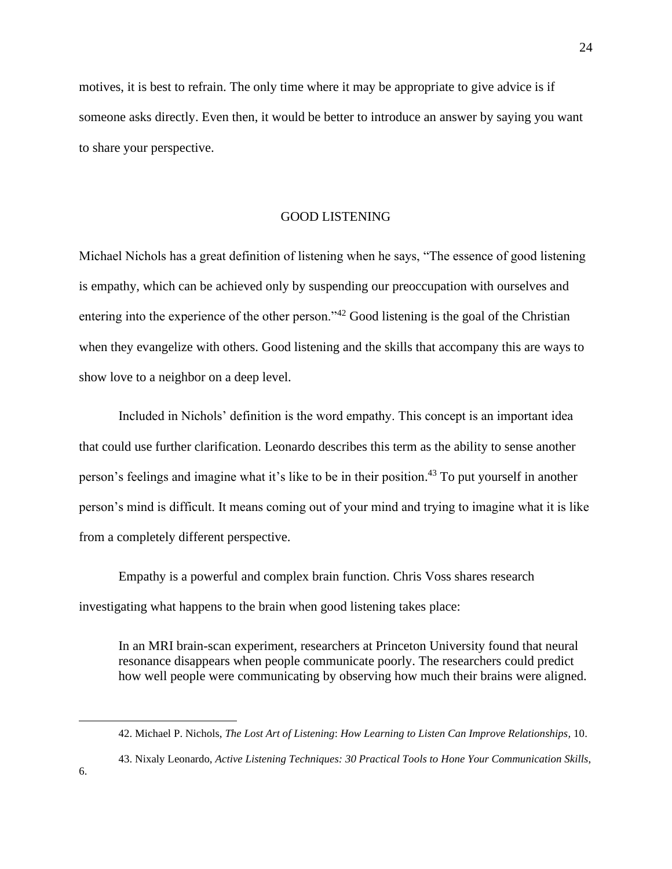motives, it is best to refrain. The only time where it may be appropriate to give advice is if someone asks directly. Even then, it would be better to introduce an answer by saying you want to share your perspective.

# GOOD LISTENING

Michael Nichols has a great definition of listening when he says, "The essence of good listening is empathy, which can be achieved only by suspending our preoccupation with ourselves and entering into the experience of the other person."<sup>42</sup> Good listening is the goal of the Christian when they evangelize with others. Good listening and the skills that accompany this are ways to show love to a neighbor on a deep level.

Included in Nichols' definition is the word empathy. This concept is an important idea that could use further clarification. Leonardo describes this term as the ability to sense another person's feelings and imagine what it's like to be in their position. <sup>43</sup> To put yourself in another person's mind is difficult. It means coming out of your mind and trying to imagine what it is like from a completely different perspective.

Empathy is a powerful and complex brain function. Chris Voss shares research investigating what happens to the brain when good listening takes place:

In an MRI brain-scan experiment, researchers at Princeton University found that neural resonance disappears when people communicate poorly. The researchers could predict how well people were communicating by observing how much their brains were aligned.

<sup>42.</sup> Michael P. Nichols, *The Lost Art of Listening*: *How Learning to Listen Can Improve Relationships,* 10.

<sup>43.</sup> Nixaly Leonardo, *Active Listening Techniques: 30 Practical Tools to Hone Your Communication Skills*,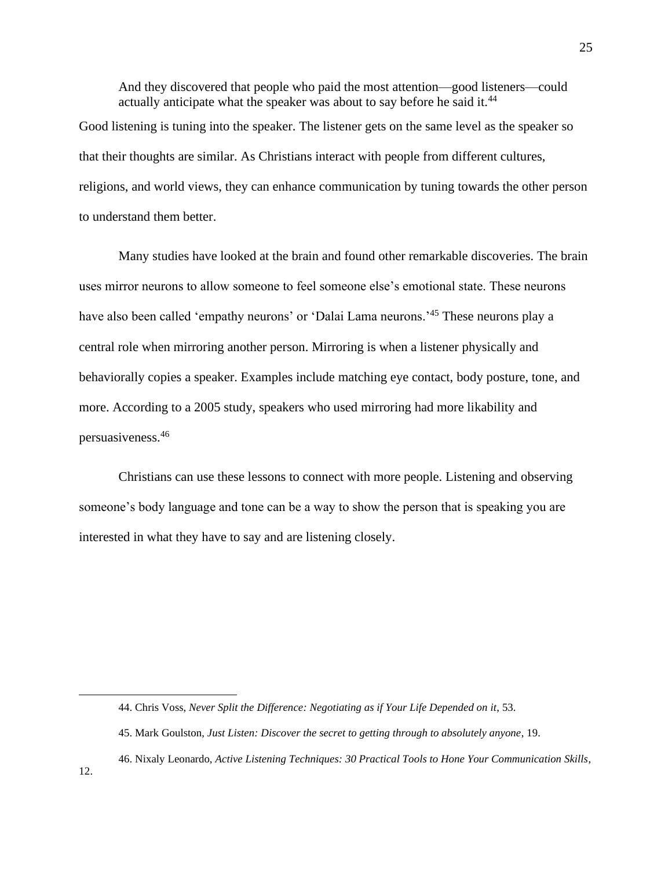And they discovered that people who paid the most attention—good listeners—could actually anticipate what the speaker was about to say before he said it.<sup>44</sup> Good listening is tuning into the speaker. The listener gets on the same level as the speaker so that their thoughts are similar. As Christians interact with people from different cultures, religions, and world views, they can enhance communication by tuning towards the other person to understand them better.

Many studies have looked at the brain and found other remarkable discoveries. The brain uses mirror neurons to allow someone to feel someone else's emotional state. These neurons have also been called 'empathy neurons' or 'Dalai Lama neurons.<sup>45</sup> These neurons play a central role when mirroring another person. Mirroring is when a listener physically and behaviorally copies a speaker. Examples include matching eye contact, body posture, tone, and more. According to a 2005 study, speakers who used mirroring had more likability and persuasiveness.<sup>46</sup>

Christians can use these lessons to connect with more people. Listening and observing someone's body language and tone can be a way to show the person that is speaking you are interested in what they have to say and are listening closely.

<sup>44.</sup> Chris Voss, *Never Split the Difference: Negotiating as if Your Life Depended on it*, 53.

<sup>45.</sup> Mark Goulston, *Just Listen: Discover the secret to getting through to absolutely anyone*, 19.

<sup>46.</sup> Nixaly Leonardo, *Active Listening Techniques: 30 Practical Tools to Hone Your Communication Skills*,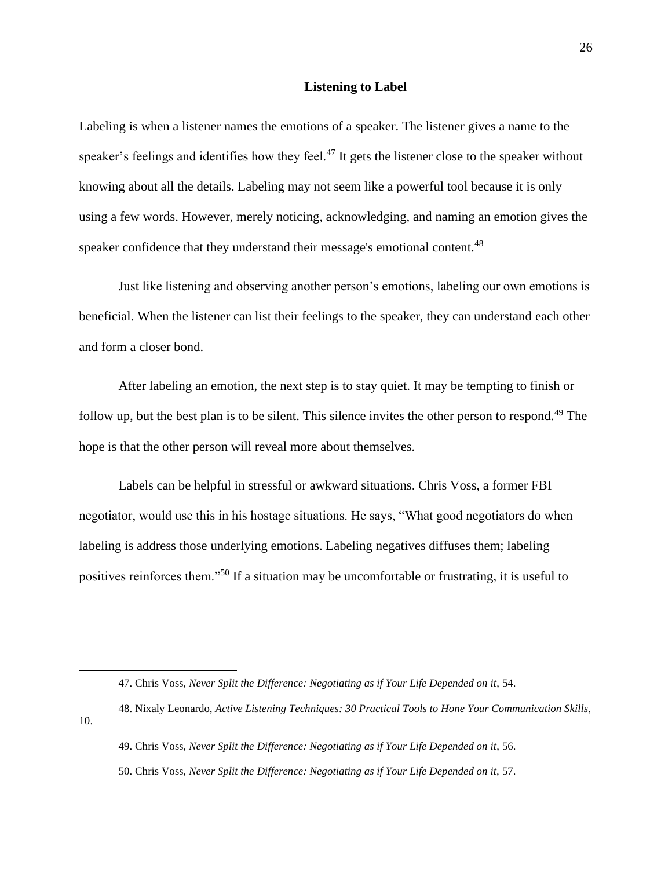### **Listening to Label**

Labeling is when a listener names the emotions of a speaker. The listener gives a name to the speaker's feelings and identifies how they feel.<sup>47</sup> It gets the listener close to the speaker without knowing about all the details. Labeling may not seem like a powerful tool because it is only using a few words. However, merely noticing, acknowledging, and naming an emotion gives the speaker confidence that they understand their message's emotional content.<sup>48</sup>

Just like listening and observing another person's emotions, labeling our own emotions is beneficial. When the listener can list their feelings to the speaker, they can understand each other and form a closer bond.

After labeling an emotion, the next step is to stay quiet. It may be tempting to finish or follow up, but the best plan is to be silent. This silence invites the other person to respond.<sup>49</sup> The hope is that the other person will reveal more about themselves.

Labels can be helpful in stressful or awkward situations. Chris Voss, a former FBI negotiator, would use this in his hostage situations. He says, "What good negotiators do when labeling is address those underlying emotions. Labeling negatives diffuses them; labeling positives reinforces them."<sup>50</sup> If a situation may be uncomfortable or frustrating, it is useful to

<sup>47.</sup> Chris Voss, *Never Split the Difference: Negotiating as if Your Life Depended on it*, 54.

<sup>48.</sup> Nixaly Leonardo, *Active Listening Techniques: 30 Practical Tools to Hone Your Communication Skills*, 10.

<sup>49.</sup> Chris Voss, *Never Split the Difference: Negotiating as if Your Life Depended on it*, 56.

<sup>50.</sup> Chris Voss, *Never Split the Difference: Negotiating as if Your Life Depended on it,* 57.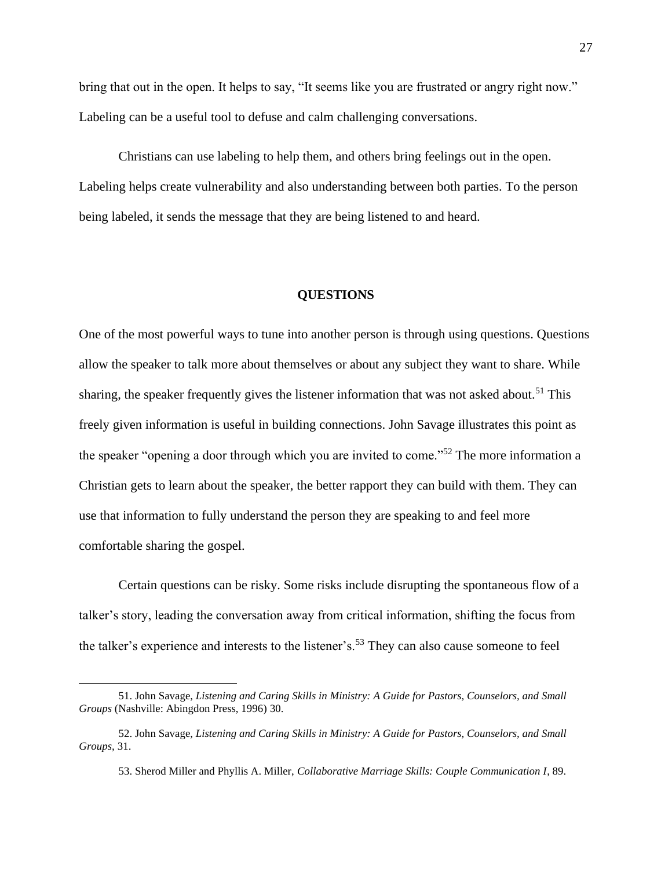bring that out in the open. It helps to say, "It seems like you are frustrated or angry right now." Labeling can be a useful tool to defuse and calm challenging conversations.

Christians can use labeling to help them, and others bring feelings out in the open. Labeling helps create vulnerability and also understanding between both parties. To the person being labeled, it sends the message that they are being listened to and heard.

# **QUESTIONS**

One of the most powerful ways to tune into another person is through using questions. Questions allow the speaker to talk more about themselves or about any subject they want to share. While sharing, the speaker frequently gives the listener information that was not asked about.<sup>51</sup> This freely given information is useful in building connections. John Savage illustrates this point as the speaker "opening a door through which you are invited to come."<sup>52</sup> The more information a Christian gets to learn about the speaker, the better rapport they can build with them. They can use that information to fully understand the person they are speaking to and feel more comfortable sharing the gospel.

Certain questions can be risky. Some risks include disrupting the spontaneous flow of a talker's story, leading the conversation away from critical information, shifting the focus from the talker's experience and interests to the listener's.<sup>53</sup> They can also cause someone to feel

<sup>51.</sup> John Savage, *Listening and Caring Skills in Ministry: A Guide for Pastors, Counselors, and Small Groups* (Nashville: Abingdon Press, 1996) 30.

<sup>52.</sup> John Savage, *Listening and Caring Skills in Ministry: A Guide for Pastors, Counselors, and Small Groups,* 31.

<sup>53.</sup> Sherod Miller and Phyllis A. Miller, *Collaborative Marriage Skills: Couple Communication I*, 89.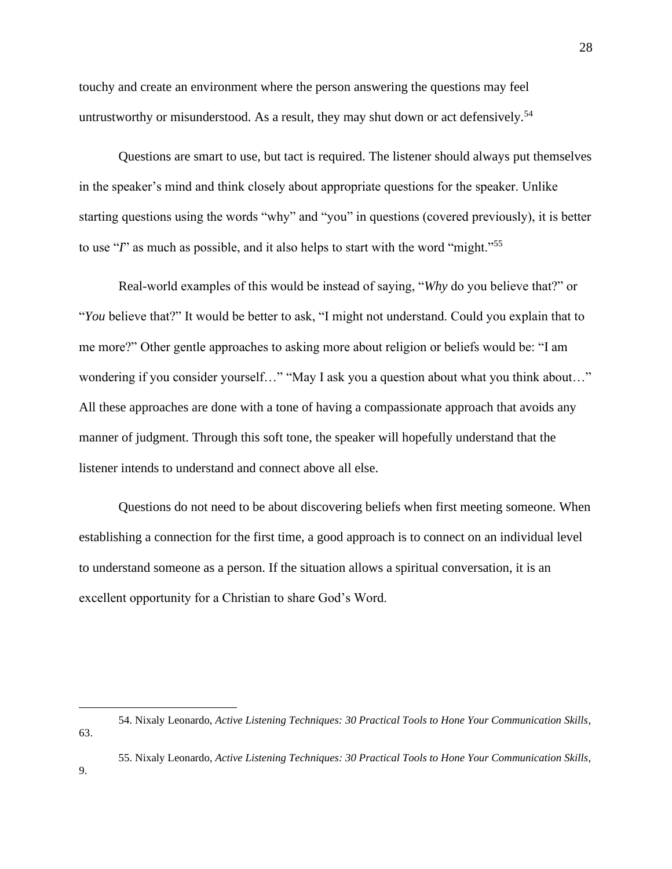touchy and create an environment where the person answering the questions may feel untrustworthy or misunderstood. As a result, they may shut down or act defensively.<sup>54</sup>

Questions are smart to use, but tact is required. The listener should always put themselves in the speaker's mind and think closely about appropriate questions for the speaker. Unlike starting questions using the words "why" and "you" in questions (covered previously), it is better to use "*I*" as much as possible, and it also helps to start with the word "might."<sup>55</sup>

Real-world examples of this would be instead of saying, "*Why* do you believe that?" or "*You* believe that?" It would be better to ask, "I might not understand. Could you explain that to me more?" Other gentle approaches to asking more about religion or beliefs would be: "I am wondering if you consider yourself…" "May I ask you a question about what you think about…" All these approaches are done with a tone of having a compassionate approach that avoids any manner of judgment. Through this soft tone, the speaker will hopefully understand that the listener intends to understand and connect above all else.

Questions do not need to be about discovering beliefs when first meeting someone. When establishing a connection for the first time, a good approach is to connect on an individual level to understand someone as a person. If the situation allows a spiritual conversation, it is an excellent opportunity for a Christian to share God's Word.

63.

<sup>54.</sup> Nixaly Leonardo, *Active Listening Techniques: 30 Practical Tools to Hone Your Communication Skills*,

<sup>55.</sup> Nixaly Leonardo, *Active Listening Techniques: 30 Practical Tools to Hone Your Communication Skills*,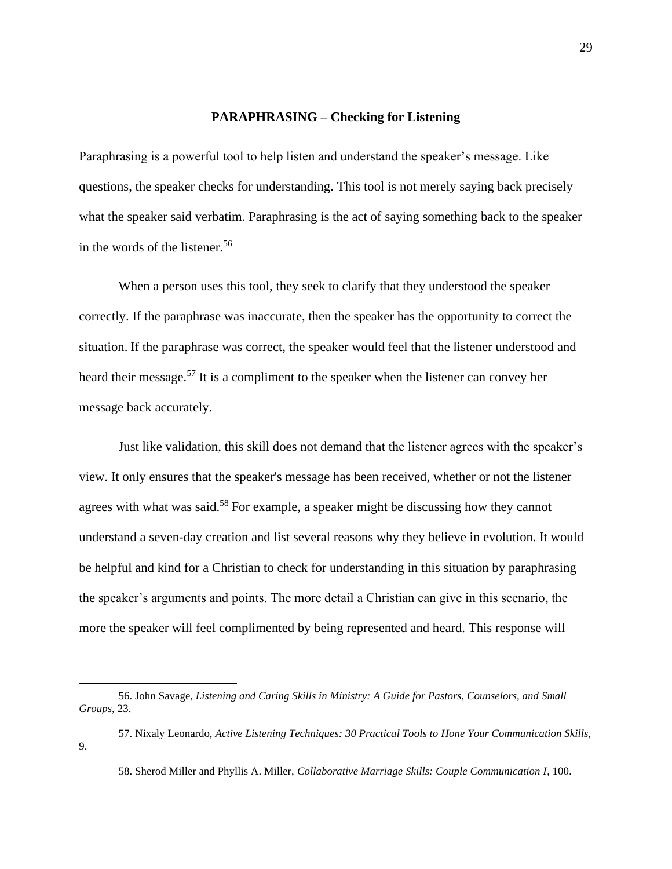#### **PARAPHRASING – Checking for Listening**

Paraphrasing is a powerful tool to help listen and understand the speaker's message. Like questions, the speaker checks for understanding. This tool is not merely saying back precisely what the speaker said verbatim. Paraphrasing is the act of saying something back to the speaker in the words of the listener.<sup>56</sup>

When a person uses this tool, they seek to clarify that they understood the speaker correctly. If the paraphrase was inaccurate, then the speaker has the opportunity to correct the situation. If the paraphrase was correct, the speaker would feel that the listener understood and heard their message.<sup>57</sup> It is a compliment to the speaker when the listener can convey her message back accurately.

Just like validation, this skill does not demand that the listener agrees with the speaker's view. It only ensures that the speaker's message has been received, whether or not the listener agrees with what was said.<sup>58</sup> For example, a speaker might be discussing how they cannot understand a seven-day creation and list several reasons why they believe in evolution. It would be helpful and kind for a Christian to check for understanding in this situation by paraphrasing the speaker's arguments and points. The more detail a Christian can give in this scenario, the more the speaker will feel complimented by being represented and heard. This response will

<sup>56.</sup> John Savage, *Listening and Caring Skills in Ministry: A Guide for Pastors, Counselors, and Small Groups,* 23.

<sup>57.</sup> Nixaly Leonardo, *Active Listening Techniques: 30 Practical Tools to Hone Your Communication Skills*, 9.

<sup>58.</sup> Sherod Miller and Phyllis A. Miller, *Collaborative Marriage Skills: Couple Communication I*, 100.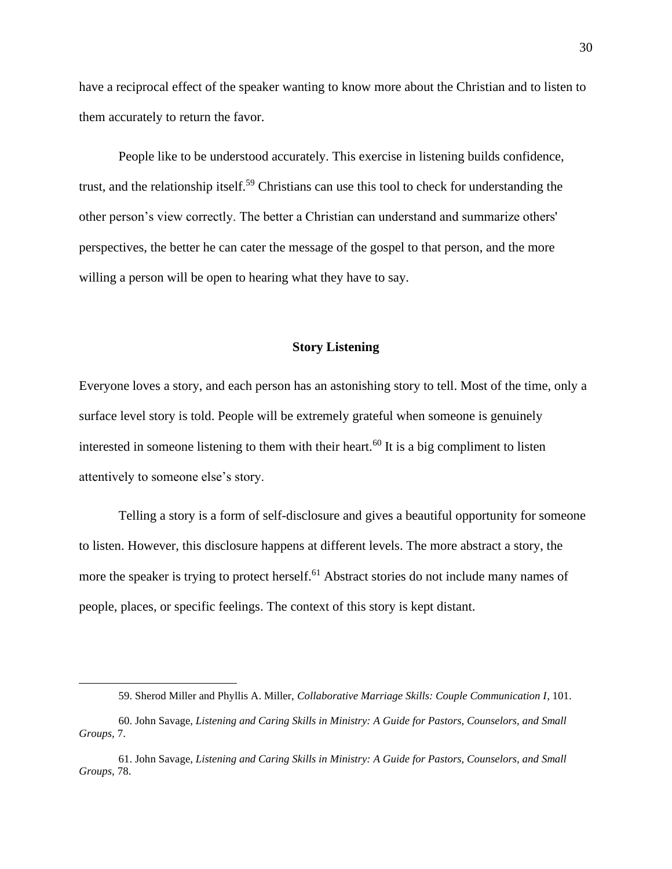have a reciprocal effect of the speaker wanting to know more about the Christian and to listen to them accurately to return the favor.

People like to be understood accurately. This exercise in listening builds confidence, trust, and the relationship itself.<sup>59</sup> Christians can use this tool to check for understanding the other person's view correctly. The better a Christian can understand and summarize others' perspectives, the better he can cater the message of the gospel to that person, and the more willing a person will be open to hearing what they have to say.

# **Story Listening**

Everyone loves a story, and each person has an astonishing story to tell. Most of the time, only a surface level story is told. People will be extremely grateful when someone is genuinely interested in someone listening to them with their heart.<sup>60</sup> It is a big compliment to listen attentively to someone else's story.

Telling a story is a form of self-disclosure and gives a beautiful opportunity for someone to listen. However, this disclosure happens at different levels. The more abstract a story, the more the speaker is trying to protect herself.<sup>61</sup> Abstract stories do not include many names of people, places, or specific feelings. The context of this story is kept distant.

<sup>59.</sup> Sherod Miller and Phyllis A. Miller, *Collaborative Marriage Skills: Couple Communication I*, 101.

<sup>60.</sup> John Savage, *Listening and Caring Skills in Ministry: A Guide for Pastors, Counselors, and Small Groups,* 7.

<sup>61.</sup> John Savage, *Listening and Caring Skills in Ministry: A Guide for Pastors, Counselors, and Small Groups,* 78.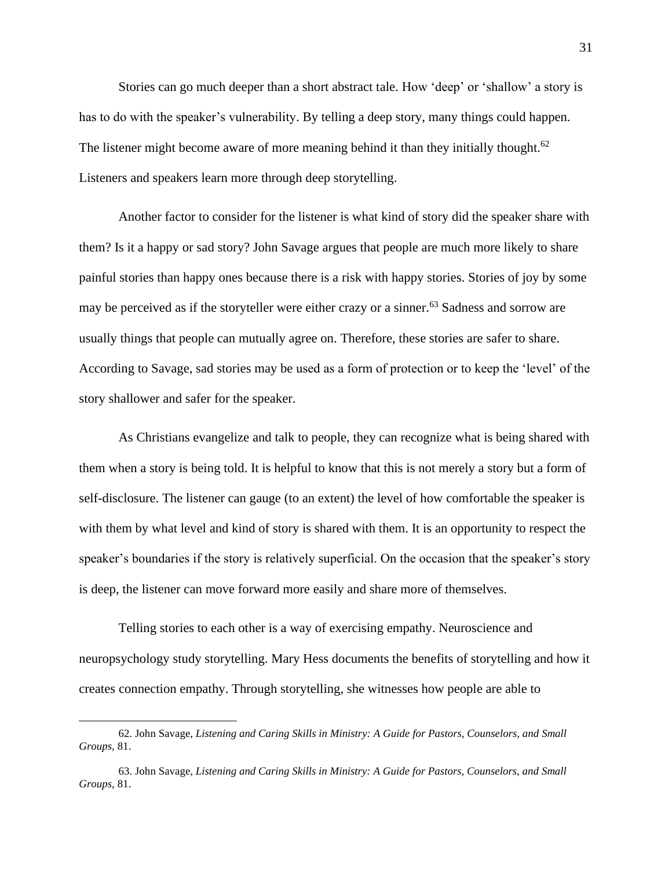Stories can go much deeper than a short abstract tale. How 'deep' or 'shallow' a story is has to do with the speaker's vulnerability. By telling a deep story, many things could happen. The listener might become aware of more meaning behind it than they initially thought.<sup>62</sup> Listeners and speakers learn more through deep storytelling.

Another factor to consider for the listener is what kind of story did the speaker share with them? Is it a happy or sad story? John Savage argues that people are much more likely to share painful stories than happy ones because there is a risk with happy stories. Stories of joy by some may be perceived as if the storyteller were either crazy or a sinner.<sup>63</sup> Sadness and sorrow are usually things that people can mutually agree on. Therefore, these stories are safer to share. According to Savage, sad stories may be used as a form of protection or to keep the 'level' of the story shallower and safer for the speaker.

As Christians evangelize and talk to people, they can recognize what is being shared with them when a story is being told. It is helpful to know that this is not merely a story but a form of self-disclosure. The listener can gauge (to an extent) the level of how comfortable the speaker is with them by what level and kind of story is shared with them. It is an opportunity to respect the speaker's boundaries if the story is relatively superficial. On the occasion that the speaker's story is deep, the listener can move forward more easily and share more of themselves.

Telling stories to each other is a way of exercising empathy. Neuroscience and neuropsychology study storytelling. Mary Hess documents the benefits of storytelling and how it creates connection empathy. Through storytelling, she witnesses how people are able to

<sup>62.</sup> John Savage, *Listening and Caring Skills in Ministry: A Guide for Pastors, Counselors, and Small Groups,* 81.

<sup>63.</sup> John Savage, *Listening and Caring Skills in Ministry: A Guide for Pastors, Counselors, and Small Groups,* 81.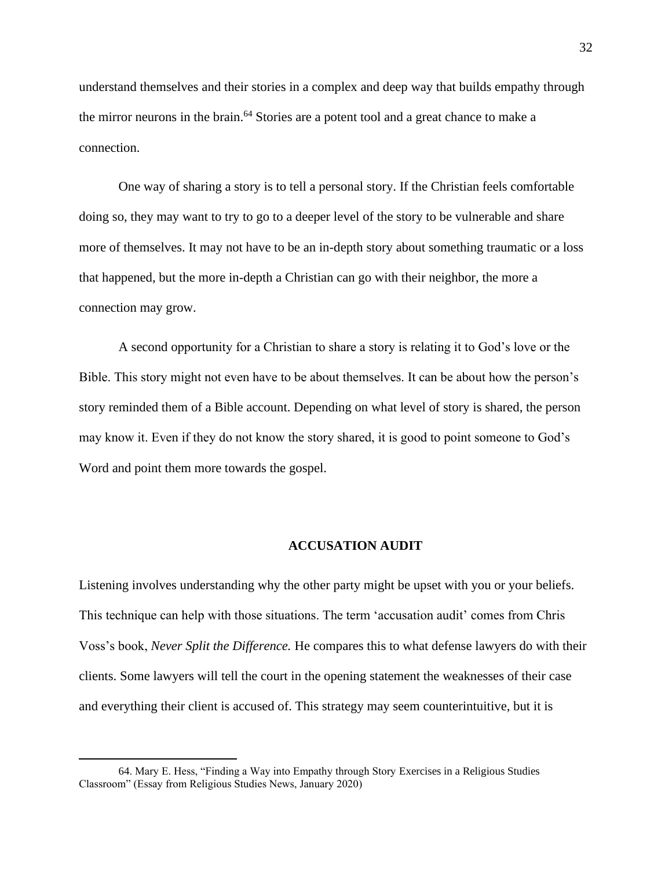understand themselves and their stories in a complex and deep way that builds empathy through the mirror neurons in the brain.<sup>64</sup> Stories are a potent tool and a great chance to make a connection.

One way of sharing a story is to tell a personal story. If the Christian feels comfortable doing so, they may want to try to go to a deeper level of the story to be vulnerable and share more of themselves. It may not have to be an in-depth story about something traumatic or a loss that happened, but the more in-depth a Christian can go with their neighbor, the more a connection may grow.

A second opportunity for a Christian to share a story is relating it to God's love or the Bible. This story might not even have to be about themselves. It can be about how the person's story reminded them of a Bible account. Depending on what level of story is shared, the person may know it. Even if they do not know the story shared, it is good to point someone to God's Word and point them more towards the gospel.

# **ACCUSATION AUDIT**

Listening involves understanding why the other party might be upset with you or your beliefs. This technique can help with those situations. The term 'accusation audit' comes from Chris Voss's book, *Never Split the Difference.* He compares this to what defense lawyers do with their clients. Some lawyers will tell the court in the opening statement the weaknesses of their case and everything their client is accused of. This strategy may seem counterintuitive, but it is

<sup>64.</sup> Mary E. Hess, "Finding a Way into Empathy through Story Exercises in a Religious Studies Classroom" (Essay from Religious Studies News, January 2020)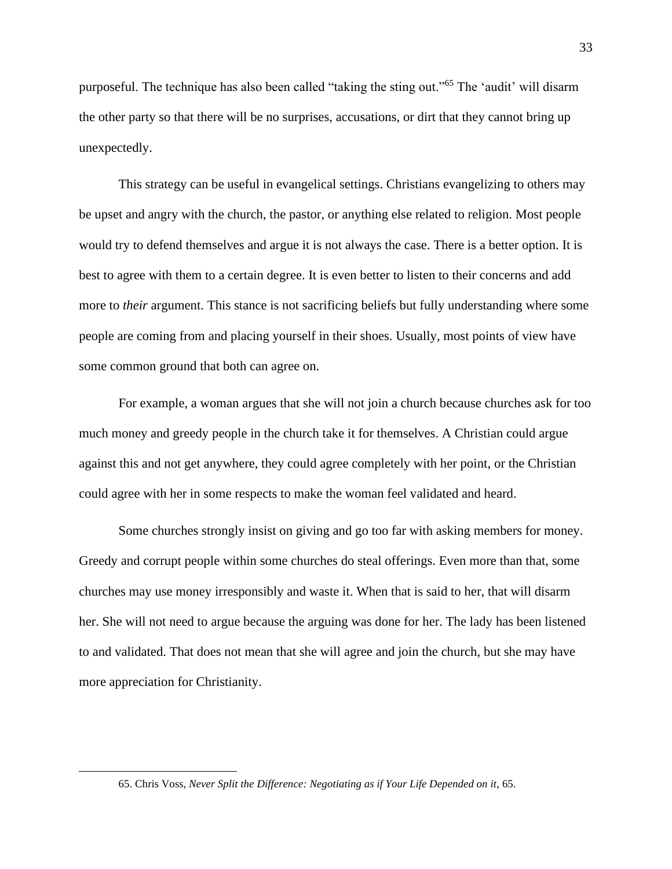purposeful. The technique has also been called "taking the sting out."<sup>65</sup> The 'audit' will disarm the other party so that there will be no surprises, accusations, or dirt that they cannot bring up unexpectedly.

This strategy can be useful in evangelical settings. Christians evangelizing to others may be upset and angry with the church, the pastor, or anything else related to religion. Most people would try to defend themselves and argue it is not always the case. There is a better option. It is best to agree with them to a certain degree. It is even better to listen to their concerns and add more to *their* argument. This stance is not sacrificing beliefs but fully understanding where some people are coming from and placing yourself in their shoes. Usually, most points of view have some common ground that both can agree on.

For example, a woman argues that she will not join a church because churches ask for too much money and greedy people in the church take it for themselves. A Christian could argue against this and not get anywhere, they could agree completely with her point, or the Christian could agree with her in some respects to make the woman feel validated and heard.

Some churches strongly insist on giving and go too far with asking members for money. Greedy and corrupt people within some churches do steal offerings. Even more than that, some churches may use money irresponsibly and waste it. When that is said to her, that will disarm her. She will not need to argue because the arguing was done for her. The lady has been listened to and validated. That does not mean that she will agree and join the church, but she may have more appreciation for Christianity.

<sup>65.</sup> Chris Voss, *Never Split the Difference: Negotiating as if Your Life Depended on it*, 65.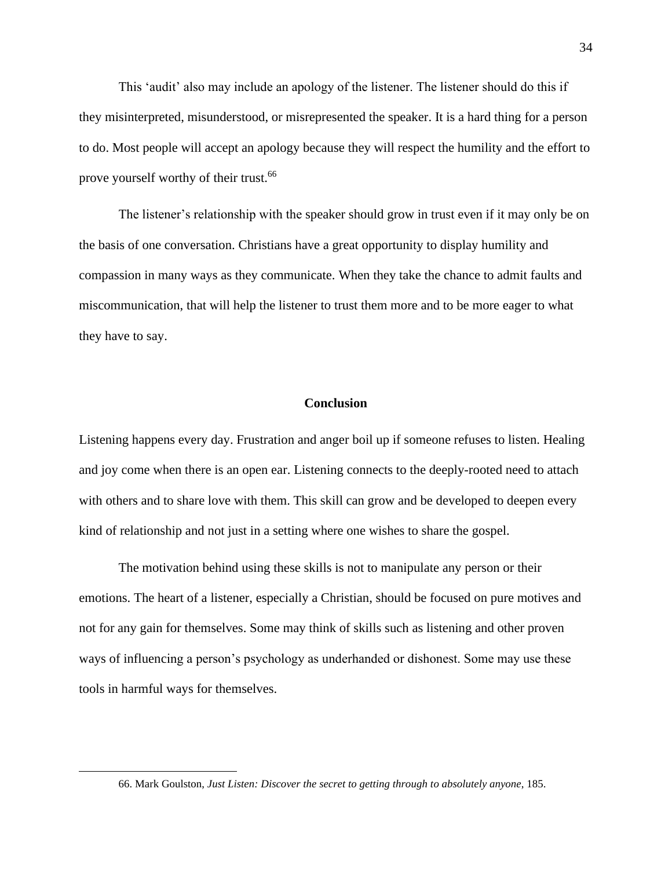This 'audit' also may include an apology of the listener. The listener should do this if they misinterpreted, misunderstood, or misrepresented the speaker. It is a hard thing for a person to do. Most people will accept an apology because they will respect the humility and the effort to prove yourself worthy of their trust.<sup>66</sup>

The listener's relationship with the speaker should grow in trust even if it may only be on the basis of one conversation. Christians have a great opportunity to display humility and compassion in many ways as they communicate. When they take the chance to admit faults and miscommunication, that will help the listener to trust them more and to be more eager to what they have to say.

### **Conclusion**

Listening happens every day. Frustration and anger boil up if someone refuses to listen. Healing and joy come when there is an open ear. Listening connects to the deeply-rooted need to attach with others and to share love with them. This skill can grow and be developed to deepen every kind of relationship and not just in a setting where one wishes to share the gospel.

The motivation behind using these skills is not to manipulate any person or their emotions. The heart of a listener, especially a Christian, should be focused on pure motives and not for any gain for themselves. Some may think of skills such as listening and other proven ways of influencing a person's psychology as underhanded or dishonest. Some may use these tools in harmful ways for themselves.

<sup>66.</sup> Mark Goulston, *Just Listen: Discover the secret to getting through to absolutely anyone*, 185.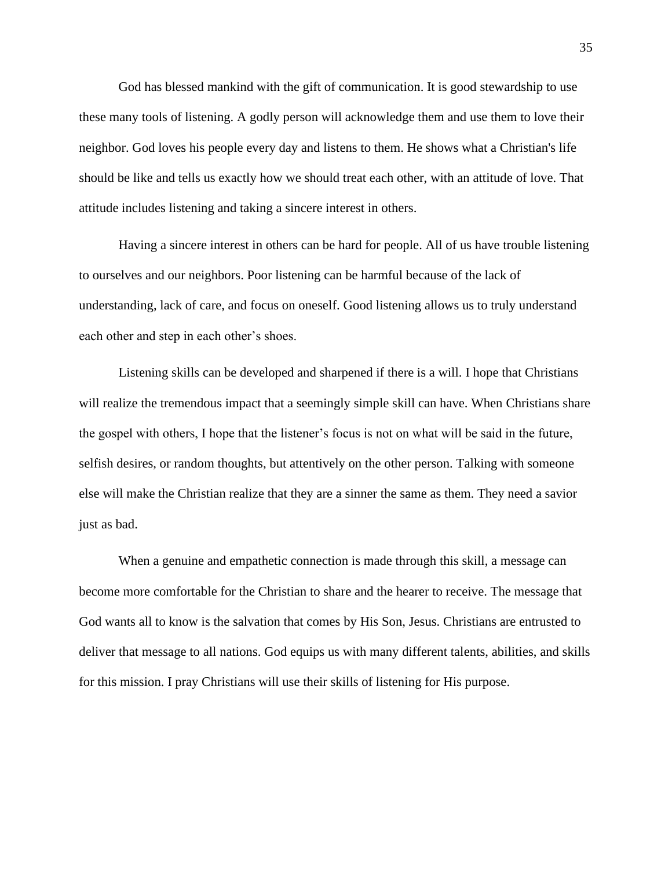God has blessed mankind with the gift of communication. It is good stewardship to use these many tools of listening. A godly person will acknowledge them and use them to love their neighbor. God loves his people every day and listens to them. He shows what a Christian's life should be like and tells us exactly how we should treat each other, with an attitude of love. That attitude includes listening and taking a sincere interest in others.

Having a sincere interest in others can be hard for people. All of us have trouble listening to ourselves and our neighbors. Poor listening can be harmful because of the lack of understanding, lack of care, and focus on oneself. Good listening allows us to truly understand each other and step in each other's shoes.

Listening skills can be developed and sharpened if there is a will. I hope that Christians will realize the tremendous impact that a seemingly simple skill can have. When Christians share the gospel with others, I hope that the listener's focus is not on what will be said in the future, selfish desires, or random thoughts, but attentively on the other person. Talking with someone else will make the Christian realize that they are a sinner the same as them. They need a savior just as bad.

When a genuine and empathetic connection is made through this skill, a message can become more comfortable for the Christian to share and the hearer to receive. The message that God wants all to know is the salvation that comes by His Son, Jesus. Christians are entrusted to deliver that message to all nations. God equips us with many different talents, abilities, and skills for this mission. I pray Christians will use their skills of listening for His purpose.